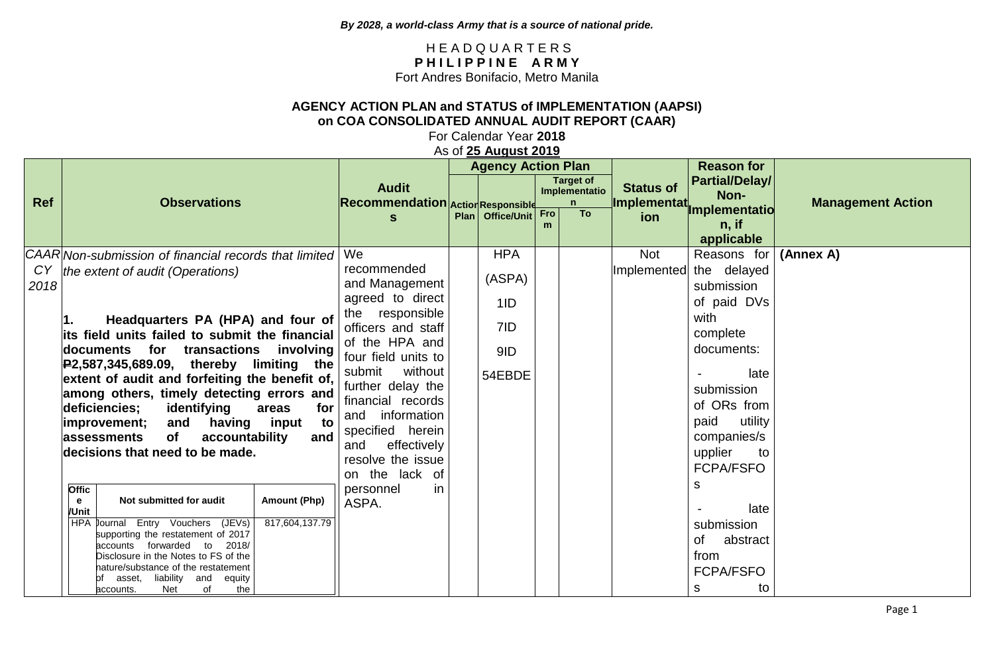## H E A D Q U A R T E R S PHILIPPINE ARMY Fort Andres Bonifacio, Metro Manila

## **AGENCY ACTION PLAN and STATUS of IMPLEMENTATION (AAPSI) on COA CONSOLIDATED ANNUAL AUDIT REPORT (CAAR)**

For Calendar Year **2018**

As of **25 August 2019**

|            |                                                                                                                                                                                                                                                                                                                                                                                                                                                                                                                                  |                                       |                                                                                                                                                                                                                                                                                                                 | <b>Agency Action Plan</b>                           |     |                                                   |                           | <b>Reason for</b>                                                                                                                                                                                     |                          |
|------------|----------------------------------------------------------------------------------------------------------------------------------------------------------------------------------------------------------------------------------------------------------------------------------------------------------------------------------------------------------------------------------------------------------------------------------------------------------------------------------------------------------------------------------|---------------------------------------|-----------------------------------------------------------------------------------------------------------------------------------------------------------------------------------------------------------------------------------------------------------------------------------------------------------------|-----------------------------------------------------|-----|---------------------------------------------------|---------------------------|-------------------------------------------------------------------------------------------------------------------------------------------------------------------------------------------------------|--------------------------|
| <b>Ref</b> | <b>Observations</b>                                                                                                                                                                                                                                                                                                                                                                                                                                                                                                              |                                       | <b>Audit</b><br>Recommendation Action Responsible                                                                                                                                                                                                                                                               |                                                     |     | <b>Target of</b><br>Implementatio<br>$\mathsf{n}$ | <b>Status of</b>          | <b>Partial/Delay/</b><br>Non-                                                                                                                                                                         | <b>Management Action</b> |
|            |                                                                                                                                                                                                                                                                                                                                                                                                                                                                                                                                  |                                       | S                                                                                                                                                                                                                                                                                                               | Plan   Office/Unit                                  | Fro | <b>To</b>                                         | ion                       | Implementat <sub>implementatio</sub><br>$n,$ if<br>applicable                                                                                                                                         |                          |
| CY<br>2018 | CAAR Non-submission of financial records that limited<br>the extent of audit (Operations)<br>Headquarters PA (HPA) and four of<br>its field units failed to submit the financial<br>documents for transactions involving<br>$R$ 2,587,345,689.09, thereby limiting the<br>extent of audit and forfeiting the benefit of,<br>among others, timely detecting errors and<br>identifying<br>deficiencies;<br>areas<br>having input<br>and<br> improvement;<br>of<br>accountability<br>assessments<br>decisions that need to be made. | for<br>to<br>and                      | We<br>recommended<br>and Management<br>agreed to direct<br>the responsible<br>officers and staff<br>of the HPA and<br>four field units to<br>without<br>submit<br>further delay the<br>financial records<br>information<br>and<br>specified herein<br>effectively<br>and<br>resolve the issue<br>on the lack of | <b>HPA</b><br>(ASPA)<br>1ID<br>7ID<br>9ID<br>54EBDE |     |                                                   | <b>Not</b><br>Implemented | Reasons for<br>the delayed<br>submission<br>of paid DVs<br>with<br>complete<br>documents:<br>late<br>submission<br>of ORs from<br>utility<br>paid<br>companies/s<br>upplier<br>to<br><b>FCPA/FSFO</b> | (Annex A)                |
|            | <b>Offic</b><br>Not submitted for audit<br>e<br>/Unit<br>Journal Entry Vouchers (JEVs)<br><b>HPA</b><br>supporting the restatement of 2017<br>forwarded to<br>2018/<br>accounts<br>Disclosure in the Notes to FS of the<br>nature/substance of the restatement<br>liability and<br>asset,<br>equity<br>the<br>Net<br>of<br>accounts.                                                                                                                                                                                             | <b>Amount (Php)</b><br>817,604,137.79 | personnel<br>in.<br>ASPA.                                                                                                                                                                                                                                                                                       |                                                     |     |                                                   |                           | s<br>late<br>submission<br>abstract<br>0f<br>from<br><b>FCPA/FSFO</b><br>to<br>s                                                                                                                      |                          |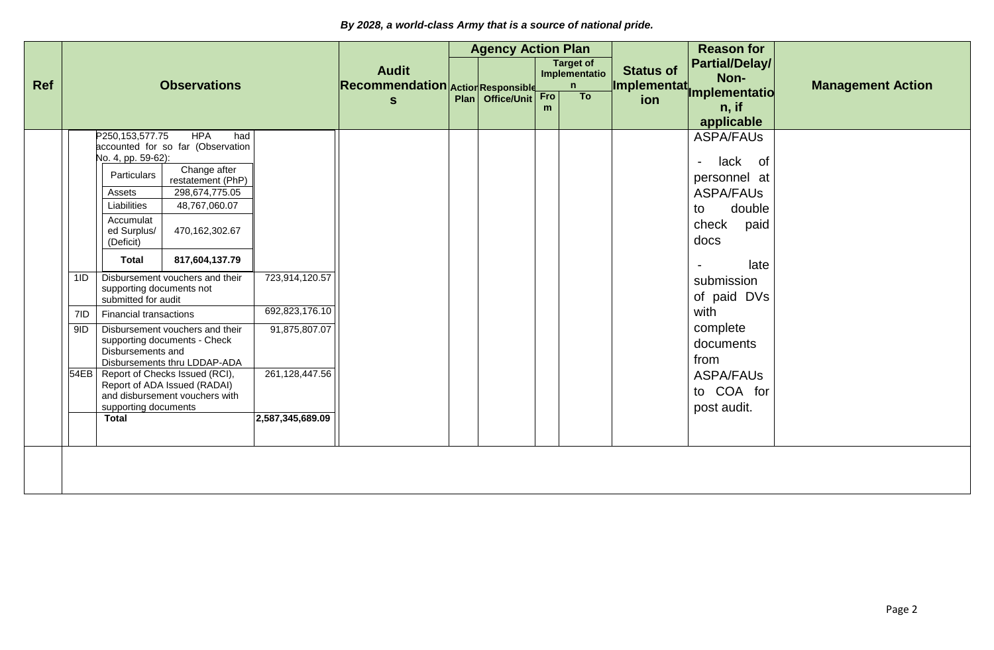|            | <b>Observations</b>  |                                                                                                                                                                                                                                                                         |                                                                                                                                                                                                                                                                                                                                                                                                                     |                                                                     | <b>Agency Action Plan</b> |                  |                                        |                  | <b>Reason for</b>             |                                                                                                                                                                                                                                                                     |  |
|------------|----------------------|-------------------------------------------------------------------------------------------------------------------------------------------------------------------------------------------------------------------------------------------------------------------------|---------------------------------------------------------------------------------------------------------------------------------------------------------------------------------------------------------------------------------------------------------------------------------------------------------------------------------------------------------------------------------------------------------------------|---------------------------------------------------------------------|---------------------------|------------------|----------------------------------------|------------------|-------------------------------|---------------------------------------------------------------------------------------------------------------------------------------------------------------------------------------------------------------------------------------------------------------------|--|
| <b>Ref</b> |                      |                                                                                                                                                                                                                                                                         |                                                                                                                                                                                                                                                                                                                                                                                                                     | <b>Audit</b><br>Recommendation Action Responsible                   |                           |                  | <b>Target of</b><br>Implementatio<br>n | <b>Status of</b> | <b>Partial/Delay/</b><br>Non- | <b>Management Action</b>                                                                                                                                                                                                                                            |  |
|            |                      |                                                                                                                                                                                                                                                                         |                                                                                                                                                                                                                                                                                                                                                                                                                     |                                                                     | $\mathbf{s}$              | Plan Office/Unit | <b>Fro</b><br>m                        | To               |                               | Implementat<br>Implementation<br>$n,$ if<br>applicable                                                                                                                                                                                                              |  |
|            | 1ID<br>7ID<br>$9$ ID | P250,153,577.75<br>No. 4, pp. 59-62):<br>Particulars<br>Assets<br>Liabilities<br>Accumulat<br>ed Surplus/<br>(Deficit)<br><b>Total</b><br>supporting documents not<br>submitted for audit<br><b>Financial transactions</b><br>Disbursements and<br>supporting documents | <b>HPA</b><br>had<br>accounted for so far (Observation<br>Change after<br>restatement (PhP)<br>298,674,775.05<br>48,767,060.07<br>470,162,302.67<br>817,604,137.79<br>Disbursement vouchers and their<br>Disbursement vouchers and their<br>supporting documents - Check<br>Disbursements thru LDDAP-ADA<br>54EB   Report of Checks Issued (RCI),<br>Report of ADA Issued (RADAI)<br>and disbursement vouchers with | 723,914,120.57<br>692,823,176.10<br>91,875,807.07<br>261,128,447.56 |                           |                  |                                        |                  |                               | <b>ASPA/FAUs</b><br>lack of<br>$\overline{\phantom{a}}$<br>personnel at<br><b>ASPA/FAUs</b><br>double<br>to<br>paid<br>check<br>docs<br>late<br>submission<br>of paid DVs<br>with<br>complete<br>documents<br>from<br><b>ASPA/FAUs</b><br>to COA for<br>post audit. |  |
|            |                      | <b>Total</b>                                                                                                                                                                                                                                                            |                                                                                                                                                                                                                                                                                                                                                                                                                     | 2,587,345,689.09                                                    |                           |                  |                                        |                  |                               |                                                                                                                                                                                                                                                                     |  |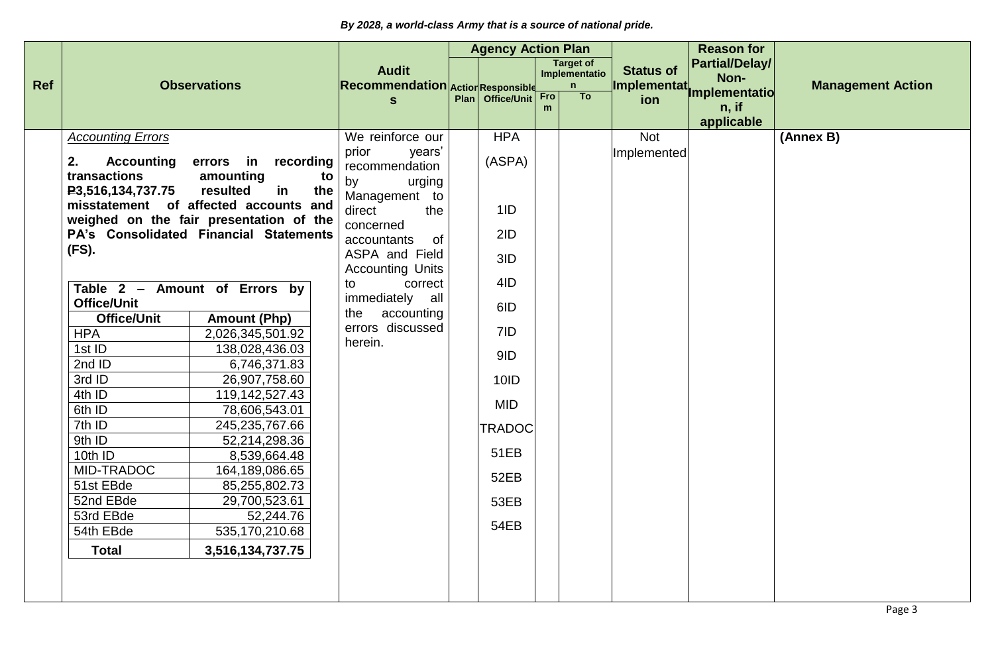|            |                                                                                                                                                                                                                                                                                                                                                                 |                                                                                                                                                                                                                                                                                                                                                                                                                                                                                          |                                                                                                                                                                                                                                                                             | <b>Agency Action Plan</b>                                                                                                                           |          |                                         |                                  | <b>Reason for</b>                      |                          |
|------------|-----------------------------------------------------------------------------------------------------------------------------------------------------------------------------------------------------------------------------------------------------------------------------------------------------------------------------------------------------------------|------------------------------------------------------------------------------------------------------------------------------------------------------------------------------------------------------------------------------------------------------------------------------------------------------------------------------------------------------------------------------------------------------------------------------------------------------------------------------------------|-----------------------------------------------------------------------------------------------------------------------------------------------------------------------------------------------------------------------------------------------------------------------------|-----------------------------------------------------------------------------------------------------------------------------------------------------|----------|-----------------------------------------|----------------------------------|----------------------------------------|--------------------------|
| <b>Ref</b> |                                                                                                                                                                                                                                                                                                                                                                 | <b>Observations</b>                                                                                                                                                                                                                                                                                                                                                                                                                                                                      | <b>Audit</b><br>Recommendation Action Responsible                                                                                                                                                                                                                           |                                                                                                                                                     |          | <b>Target of</b><br>Implementatio<br>n. | <b>Status of</b><br>Implementat, | <b>Partial/Delay/</b><br>Non-          | <b>Management Action</b> |
|            |                                                                                                                                                                                                                                                                                                                                                                 |                                                                                                                                                                                                                                                                                                                                                                                                                                                                                          | S                                                                                                                                                                                                                                                                           | Plan   Office/Unit                                                                                                                                  | Fro<br>m | To                                      | ion                              | Implementatio<br>$n,$ if<br>applicable |                          |
|            | <b>Accounting Errors</b><br>2.<br><b>Accounting</b><br>transactions<br>P3,516,134,737.75<br>(FS).<br>Table 2 - Amount of Errors by<br><b>Office/Unit</b><br><b>Office/Unit</b><br><b>HPA</b><br>1st ID<br>2nd ID<br>3rd ID<br>4th ID<br>6th ID<br>7th ID<br>9th ID<br>10th ID<br>MID-TRADOC<br>51st EBde<br>52nd EBde<br>53rd EBde<br>54th EBde<br><b>Total</b> | errors in recording<br>amounting<br>to<br>resulted<br>in<br>the<br>misstatement of affected accounts and<br>weighed on the fair presentation of the<br>PA's Consolidated Financial Statements<br><b>Amount (Php)</b><br>2,026,345,501.92<br>138,028,436.03<br>6,746,371.83<br>26,907,758.60<br>119,142,527.43<br>78,606,543.01<br>245,235,767.66<br>52,214,298.36<br>8,539,664.48<br>164,189,086.65<br>85,255,802.73<br>29,700,523.61<br>52,244.76<br>535,170,210.68<br>3,516,134,737.75 | We reinforce our<br>prior<br>years'<br>recommendation<br>urging<br>by<br>Management to<br>direct<br>the<br>concerned<br>0f<br>accountants<br>ASPA and Field<br><b>Accounting Units</b><br>correct<br>to<br>immediately all<br>the accounting<br>errors discussed<br>herein. | <b>HPA</b><br>(ASPA)<br>1ID<br>2ID<br>3ID<br>4ID<br>6ID<br>7ID<br>9ID<br>10ID<br><b>MID</b><br><b>TRADOC</b><br>51EB<br>52EB<br>53EB<br><b>54EB</b> |          |                                         | <b>Not</b><br>Implemented        |                                        | (Annex B)                |
|            |                                                                                                                                                                                                                                                                                                                                                                 |                                                                                                                                                                                                                                                                                                                                                                                                                                                                                          |                                                                                                                                                                                                                                                                             |                                                                                                                                                     |          |                                         |                                  |                                        |                          |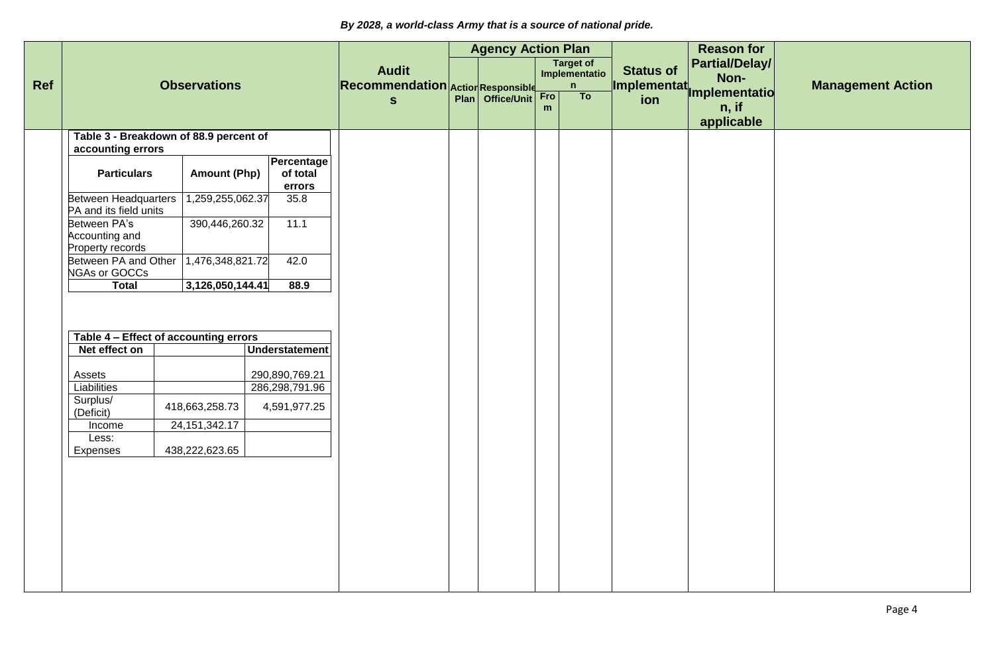|     |                                                             |                     |                                  |                                                   | <b>Agency Action Plan</b> |          |                                                   |                                 | <b>Reason for</b>                           |                          |
|-----|-------------------------------------------------------------|---------------------|----------------------------------|---------------------------------------------------|---------------------------|----------|---------------------------------------------------|---------------------------------|---------------------------------------------|--------------------------|
| Ref |                                                             | <b>Observations</b> |                                  | <b>Audit</b><br>Recommendation Action Responsible |                           |          | <b>Target of</b><br>Implementatio<br>$\mathsf{n}$ | <b>Status of</b><br>Implementat | Partial/Delay/<br>Non-                      | <b>Management Action</b> |
|     |                                                             |                     |                                  | $\mathbf{s}$                                      | Plan Office/Unit          | Fro<br>m | To                                                | ion                             | <b>Implementatio</b><br>n, if<br>applicable |                          |
|     | Table 3 - Breakdown of 88.9 percent of<br>accounting errors |                     |                                  |                                                   |                           |          |                                                   |                                 |                                             |                          |
|     | <b>Particulars</b>                                          | <b>Amount (Php)</b> | Percentage<br>of total<br>errors |                                                   |                           |          |                                                   |                                 |                                             |                          |
|     | <b>Between Headquarters</b><br>PA and its field units       | 1,259,255,062.37    | 35.8                             |                                                   |                           |          |                                                   |                                 |                                             |                          |
|     | Between PA's<br>Accounting and<br>Property records          | 390,446,260.32      | 11.1                             |                                                   |                           |          |                                                   |                                 |                                             |                          |
|     | Between PA and Other<br><b>NGAs or GOCCs</b>                | 1,476,348,821.72    | 42.0                             |                                                   |                           |          |                                                   |                                 |                                             |                          |
|     | <b>Total</b>                                                | 3,126,050,144.41    | 88.9                             |                                                   |                           |          |                                                   |                                 |                                             |                          |
|     | Table 4 - Effect of accounting errors<br>Net effect on      |                     | <b>Understatement</b>            |                                                   |                           |          |                                                   |                                 |                                             |                          |
|     | Assets                                                      |                     | 290,890,769.21                   |                                                   |                           |          |                                                   |                                 |                                             |                          |
|     | Liabilities                                                 |                     | 286,298,791.96                   |                                                   |                           |          |                                                   |                                 |                                             |                          |
|     | Surplus/<br>(Deficit)                                       | 418,663,258.73      | 4,591,977.25                     |                                                   |                           |          |                                                   |                                 |                                             |                          |
|     | Income                                                      | 24, 151, 342. 17    |                                  |                                                   |                           |          |                                                   |                                 |                                             |                          |
|     | Less:<br>Expenses                                           | 438,222,623.65      |                                  |                                                   |                           |          |                                                   |                                 |                                             |                          |
|     |                                                             |                     |                                  |                                                   |                           |          |                                                   |                                 |                                             |                          |
|     |                                                             |                     |                                  |                                                   |                           |          |                                                   |                                 |                                             |                          |
|     |                                                             |                     |                                  |                                                   |                           |          |                                                   |                                 |                                             |                          |
|     |                                                             |                     |                                  |                                                   |                           |          |                                                   |                                 |                                             |                          |
|     |                                                             |                     |                                  |                                                   |                           |          |                                                   |                                 |                                             |                          |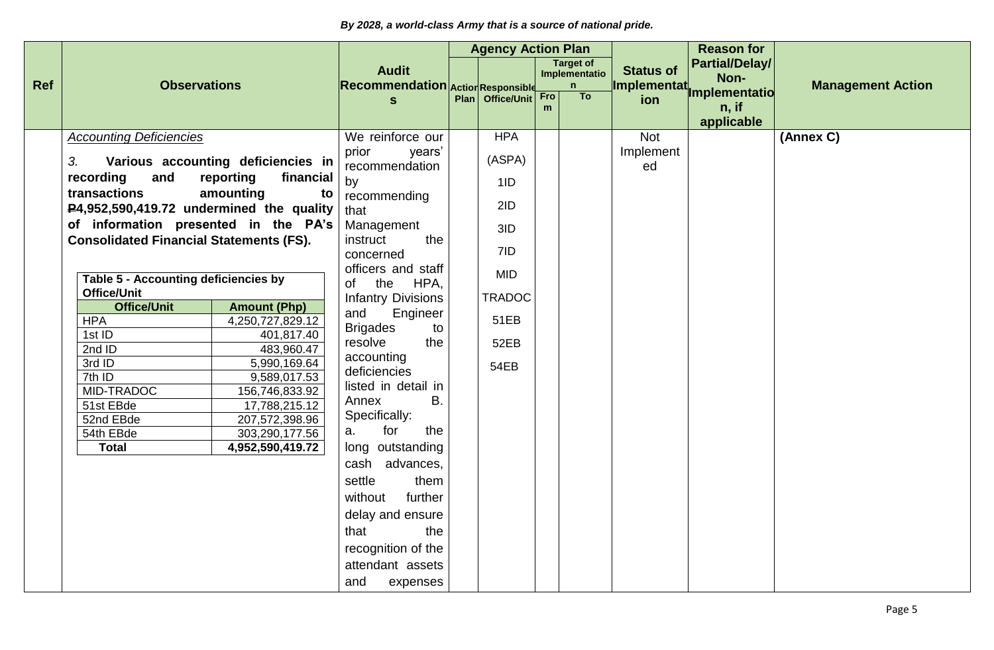|            |                                                          |                                         |                                                          | <b>Agency Action Plan</b> |          |                                        |                                        | <b>Reason for</b>                     |                          |
|------------|----------------------------------------------------------|-----------------------------------------|----------------------------------------------------------|---------------------------|----------|----------------------------------------|----------------------------------------|---------------------------------------|--------------------------|
| <b>Ref</b> | <b>Observations</b>                                      |                                         | <b>Audit</b><br><b>Recommendation Action Responsible</b> |                           |          | <b>Target of</b><br>Implementatio<br>n | <b>Status of</b><br><b>Implementat</b> | <b>Partial/Delay/</b><br>Non-         | <b>Management Action</b> |
|            |                                                          |                                         | $\mathbf{s}$                                             | Plan Office/Unit          | Fro<br>m | T <sub>o</sub>                         | ion                                    | mplementatio<br>$n,$ if<br>applicable |                          |
|            | <b>Accounting Deficiencies</b>                           |                                         | We reinforce our                                         | <b>HPA</b>                |          |                                        | <b>Not</b>                             |                                       | (Annex C)                |
|            | 3.                                                       | Various accounting deficiencies in      | prior<br>years'<br>recommendation                        | (ASPA)                    |          |                                        | Implement<br>ed                        |                                       |                          |
|            | recording<br>and                                         | reporting<br>financial                  | by                                                       | 1ID                       |          |                                        |                                        |                                       |                          |
|            | transactions<br>P4,952,590,419.72 undermined the quality | amounting<br>to                         | recommending<br>that                                     | 2ID                       |          |                                        |                                        |                                       |                          |
|            | of information presented in the PA's                     |                                         | Management<br>instruct<br>the                            | 3ID                       |          |                                        |                                        |                                       |                          |
|            | <b>Consolidated Financial Statements (FS).</b>           |                                         | concerned                                                | 7ID                       |          |                                        |                                        |                                       |                          |
|            | Table 5 - Accounting deficiencies by                     |                                         | officers and staff<br>of the<br>HPA,                     | <b>MID</b>                |          |                                        |                                        |                                       |                          |
|            | <b>Office/Unit</b>                                       |                                         | <b>Infantry Divisions</b>                                | <b>TRADOC</b>             |          |                                        |                                        |                                       |                          |
|            | <b>Office/Unit</b><br><b>HPA</b>                         | <b>Amount (Php)</b><br>4,250,727,829.12 | and<br>Engineer                                          | 51EB                      |          |                                        |                                        |                                       |                          |
|            | 1st ID                                                   | 401,817.40                              | <b>Brigades</b><br>to                                    |                           |          |                                        |                                        |                                       |                          |
|            | 2ndID                                                    | 483,960.47                              | the<br>resolve                                           | 52EB                      |          |                                        |                                        |                                       |                          |
|            | 3rd ID                                                   | 5,990,169.64                            | accounting                                               | 54EB                      |          |                                        |                                        |                                       |                          |
|            | $7th$ ID                                                 | 9,589,017.53                            | deficiencies                                             |                           |          |                                        |                                        |                                       |                          |
|            | MID-TRADOC                                               | 156,746,833.92                          | listed in detail in                                      |                           |          |                                        |                                        |                                       |                          |
|            | 51st EBde                                                | 17,788,215.12                           | <b>B.</b><br>Annex                                       |                           |          |                                        |                                        |                                       |                          |
|            | 52nd EBde                                                | 207,572,398.96                          | Specifically:<br>for<br>the<br>а.                        |                           |          |                                        |                                        |                                       |                          |
|            | 54th EBde<br><b>Total</b>                                | 303,290,177.56                          | long outstanding                                         |                           |          |                                        |                                        |                                       |                          |
|            |                                                          | 4,952,590,419.72                        |                                                          |                           |          |                                        |                                        |                                       |                          |
|            |                                                          |                                         | cash advances,                                           |                           |          |                                        |                                        |                                       |                          |
|            |                                                          |                                         | settle<br>them                                           |                           |          |                                        |                                        |                                       |                          |
|            |                                                          |                                         | further<br>without                                       |                           |          |                                        |                                        |                                       |                          |
|            |                                                          |                                         | delay and ensure                                         |                           |          |                                        |                                        |                                       |                          |
|            |                                                          |                                         | the<br>that                                              |                           |          |                                        |                                        |                                       |                          |
|            |                                                          |                                         | recognition of the                                       |                           |          |                                        |                                        |                                       |                          |
|            |                                                          |                                         | attendant assets                                         |                           |          |                                        |                                        |                                       |                          |
|            |                                                          |                                         | and<br>expenses                                          |                           |          |                                        |                                        |                                       |                          |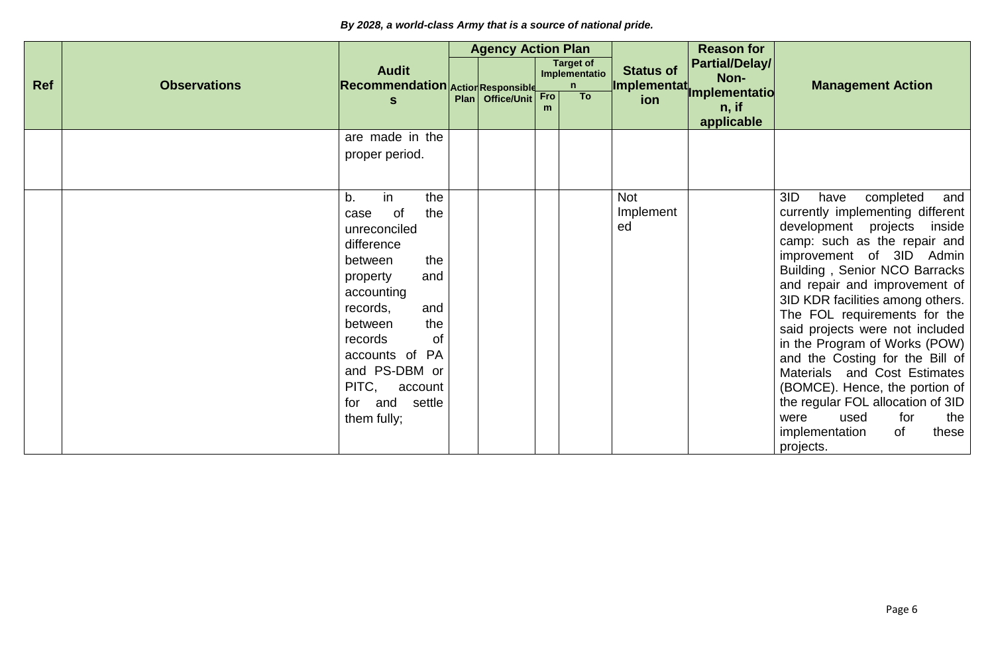|            |                     |                                                                                                                                                                                                                     |                                              | <b>Agency Action Plan</b> |          |                                        |                                 | <b>Reason for</b>                      |                                                                                                                                                                                                                                                                                                                                                                                                                                                                                                                                                                                                |
|------------|---------------------|---------------------------------------------------------------------------------------------------------------------------------------------------------------------------------------------------------------------|----------------------------------------------|---------------------------|----------|----------------------------------------|---------------------------------|----------------------------------------|------------------------------------------------------------------------------------------------------------------------------------------------------------------------------------------------------------------------------------------------------------------------------------------------------------------------------------------------------------------------------------------------------------------------------------------------------------------------------------------------------------------------------------------------------------------------------------------------|
| <b>Ref</b> | <b>Observations</b> | <b>Audit</b><br>Recommendation Action Responsible                                                                                                                                                                   |                                              |                           |          | <b>Target of</b><br>Implementatio<br>n | <b>Status of</b><br>Implementat | Partial/Delay/<br>Non-                 | <b>Management Action</b>                                                                                                                                                                                                                                                                                                                                                                                                                                                                                                                                                                       |
|            |                     | $\mathbf{s}$                                                                                                                                                                                                        |                                              | Plan Office/Unit          | Fro<br>m | T <sub>o</sub>                         | ion                             | Implementatio<br>$n,$ if<br>applicable |                                                                                                                                                                                                                                                                                                                                                                                                                                                                                                                                                                                                |
|            |                     | are made in the<br>proper period.                                                                                                                                                                                   |                                              |                           |          |                                        |                                 |                                        |                                                                                                                                                                                                                                                                                                                                                                                                                                                                                                                                                                                                |
|            |                     | in<br>b.<br>0f<br>case<br>unreconciled<br>difference<br>between<br>property<br>accounting<br>records,<br>between<br>records<br>accounts of PA<br>and PS-DBM or<br>PITC,<br>account<br>for and settle<br>them fully; | the<br>the<br>the<br>and<br>and<br>the<br>of |                           |          |                                        | <b>Not</b><br>Implement<br>ed   |                                        | 3ID<br>completed<br>have<br>and<br>currently implementing different<br>development projects inside<br>camp: such as the repair and<br>improvement of 3ID Admin<br>Building, Senior NCO Barracks<br>and repair and improvement of<br>3ID KDR facilities among others.<br>The FOL requirements for the<br>said projects were not included<br>in the Program of Works (POW)<br>and the Costing for the Bill of<br>Materials and Cost Estimates<br>(BOMCE). Hence, the portion of<br>the regular FOL allocation of 3ID<br>used<br>for<br>were<br>the<br>implementation<br>0f<br>these<br>projects. |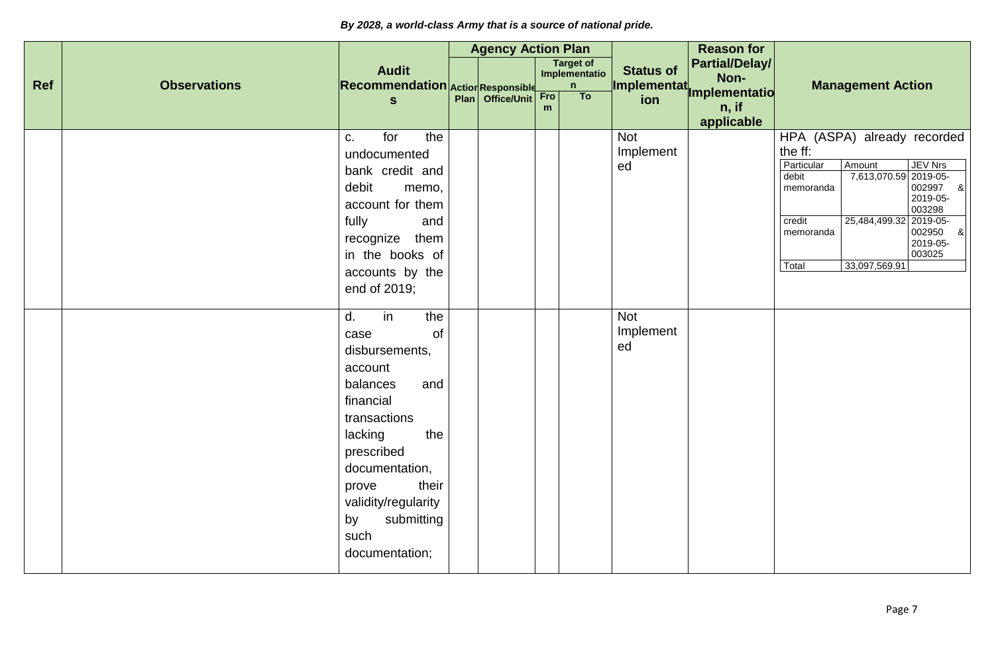|            |                     |                                                     | <b>Agency Action Plan</b> |                  |     |                                   |                  | <b>Reason for</b>             |                                                                 |
|------------|---------------------|-----------------------------------------------------|---------------------------|------------------|-----|-----------------------------------|------------------|-------------------------------|-----------------------------------------------------------------|
|            |                     | <b>Audit</b>                                        |                           |                  |     | <b>Target of</b><br>Implementatio | <b>Status of</b> | <b>Partial/Delay/</b><br>Non- |                                                                 |
| <b>Ref</b> | <b>Observations</b> | <b>Recommendation Action Responsible</b>            |                           |                  | Fro | n<br>T <sub>o</sub>               |                  | Implementat<br>Implementatio  | <b>Management Action</b>                                        |
|            |                     | $\mathbf{s}$                                        |                           | Plan Office/Unit | m   |                                   |                  | n, if                         |                                                                 |
|            |                     |                                                     |                           |                  |     |                                   |                  | applicable                    |                                                                 |
|            |                     | for<br>the<br>C.                                    |                           |                  |     |                                   | <b>Not</b>       |                               | HPA (ASPA) already recorded                                     |
|            |                     | undocumented                                        |                           |                  |     |                                   | Implement        |                               | the ff:<br>Particular<br>Amount<br><b>JEV Nrs</b>               |
|            |                     | bank credit and                                     |                           |                  |     |                                   | ed               |                               | 7,613,070.59 2019-05-<br>002997<br>debit                        |
|            |                     | debit<br>memo,                                      |                           |                  |     |                                   |                  |                               | 8 <sup>1</sup><br>memoranda<br>2019-05-                         |
|            |                     | account for them                                    |                           |                  |     |                                   |                  |                               | 003298                                                          |
|            |                     | fully<br>and                                        |                           |                  |     |                                   |                  |                               | 25,484,499.32 2019-05-<br>credit<br>8 <sub>o</sub><br>memoranda |
|            |                     | recognize them                                      |                           |                  |     |                                   |                  |                               | 002950<br>2019-05-                                              |
|            |                     | in the books of                                     |                           |                  |     |                                   |                  |                               | 003025<br>33,097,569.91<br>Total                                |
|            |                     | accounts by the                                     |                           |                  |     |                                   |                  |                               |                                                                 |
|            |                     | end of 2019;                                        |                           |                  |     |                                   |                  |                               |                                                                 |
|            |                     | $\overline{d}$ .<br>$\overline{\mathsf{in}}$<br>the |                           |                  |     |                                   | <b>Not</b>       |                               |                                                                 |
|            |                     | of<br>case                                          |                           |                  |     |                                   | Implement        |                               |                                                                 |
|            |                     | disbursements,                                      |                           |                  |     |                                   | ed               |                               |                                                                 |
|            |                     | account                                             |                           |                  |     |                                   |                  |                               |                                                                 |
|            |                     | balances<br>and                                     |                           |                  |     |                                   |                  |                               |                                                                 |
|            |                     | financial                                           |                           |                  |     |                                   |                  |                               |                                                                 |
|            |                     | transactions                                        |                           |                  |     |                                   |                  |                               |                                                                 |
|            |                     | lacking<br>the                                      |                           |                  |     |                                   |                  |                               |                                                                 |
|            |                     | prescribed                                          |                           |                  |     |                                   |                  |                               |                                                                 |
|            |                     | documentation,                                      |                           |                  |     |                                   |                  |                               |                                                                 |
|            |                     | their<br>prove                                      |                           |                  |     |                                   |                  |                               |                                                                 |
|            |                     | validity/regularity                                 |                           |                  |     |                                   |                  |                               |                                                                 |
|            |                     | submitting<br>by                                    |                           |                  |     |                                   |                  |                               |                                                                 |
|            |                     | such                                                |                           |                  |     |                                   |                  |                               |                                                                 |
|            |                     | documentation;                                      |                           |                  |     |                                   |                  |                               |                                                                 |
|            |                     |                                                     |                           |                  |     |                                   |                  |                               |                                                                 |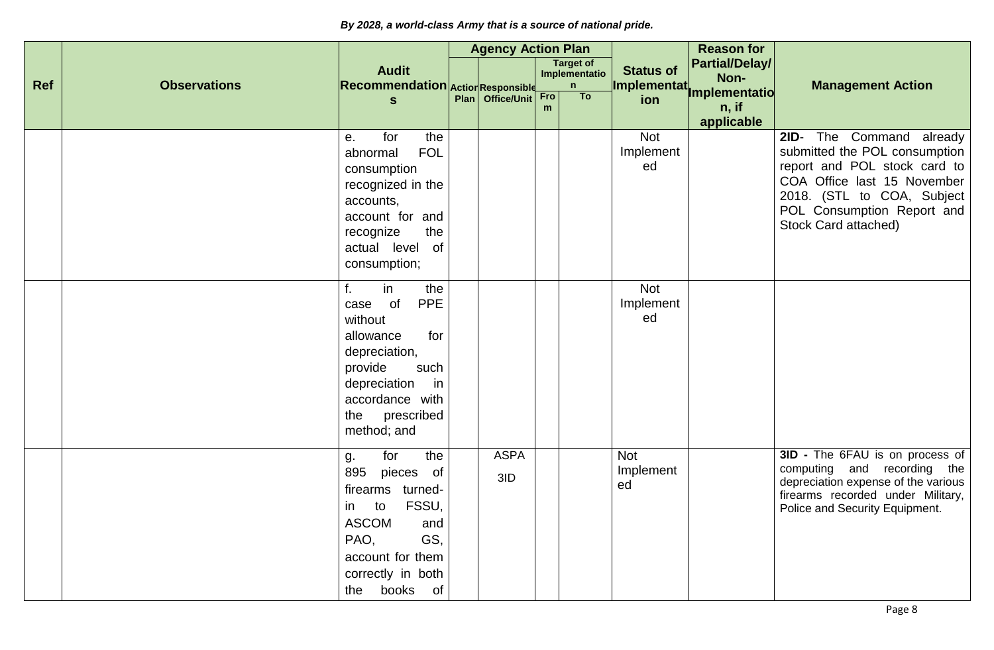|            |                     |                                                                                                                                                                                       | <b>Agency Action Plan</b> |          |                                        |                                  | <b>Reason for</b>                      |                                                                                                                                                                                                                    |
|------------|---------------------|---------------------------------------------------------------------------------------------------------------------------------------------------------------------------------------|---------------------------|----------|----------------------------------------|----------------------------------|----------------------------------------|--------------------------------------------------------------------------------------------------------------------------------------------------------------------------------------------------------------------|
| <b>Ref</b> | <b>Observations</b> | <b>Audit</b><br>Recommendation Action Responsible                                                                                                                                     |                           |          | <b>Target of</b><br>Implementatio<br>n | <b>Status of</b><br>Implementat. | Partial/Delay/<br>Non-                 | <b>Management Action</b>                                                                                                                                                                                           |
|            |                     | $\mathbf{s}$                                                                                                                                                                          | Plan Office/Unit          | Fro<br>m | To                                     | ion                              | Implementatio<br>$n,$ if<br>applicable |                                                                                                                                                                                                                    |
|            |                     | for<br>the<br>e.<br><b>FOL</b><br>abnormal<br>consumption<br>recognized in the<br>accounts,<br>account for and<br>recognize<br>the<br>actual level<br>of<br>consumption;              |                           |          |                                        | <b>Not</b><br>Implement<br>ed    |                                        | The Command already<br>$2ID -$<br>submitted the POL consumption<br>report and POL stock card to<br>COA Office last 15 November<br>2018. (STL to COA, Subject<br>POL Consumption Report and<br>Stock Card attached) |
|            |                     | in<br>the<br><b>PPE</b><br>of<br>case<br>without<br>for<br>allowance<br>depreciation,<br>provide<br>such<br>depreciation<br>in<br>accordance with<br>prescribed<br>the<br>method; and |                           |          |                                        | <b>Not</b><br>Implement<br>ed    |                                        |                                                                                                                                                                                                                    |
|            |                     | the<br>for<br>g.<br>895<br>pieces of<br>firearms<br>turned-<br>FSSU,<br>to<br>in<br><b>ASCOM</b><br>and<br>GS,<br>PAO,<br>account for them<br>correctly in both<br>the books of       | <b>ASPA</b><br>3ID        |          |                                        | <b>Not</b><br>Implement<br>ed    |                                        | 3ID - The 6FAU is on process of<br>computing and recording the<br>depreciation expense of the various<br>firearms recorded under Military,<br>Police and Security Equipment.                                       |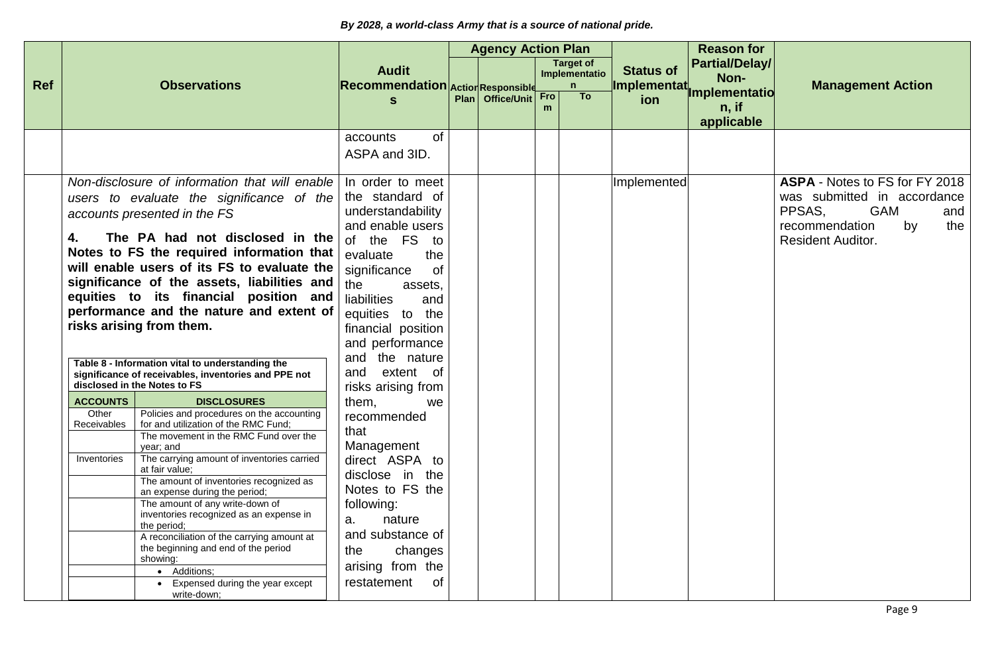|            |                                                                                                                                                                                                                                                                                                                                                                                                                                                                                                                                                                                                                                       |                                                                                                                                                                                                                                                                                                          | <b>Agency Action Plan</b> |                    |          |                                                   |                                 | <b>Reason for</b>                      |                                                                                                                                                         |
|------------|---------------------------------------------------------------------------------------------------------------------------------------------------------------------------------------------------------------------------------------------------------------------------------------------------------------------------------------------------------------------------------------------------------------------------------------------------------------------------------------------------------------------------------------------------------------------------------------------------------------------------------------|----------------------------------------------------------------------------------------------------------------------------------------------------------------------------------------------------------------------------------------------------------------------------------------------------------|---------------------------|--------------------|----------|---------------------------------------------------|---------------------------------|----------------------------------------|---------------------------------------------------------------------------------------------------------------------------------------------------------|
| <b>Ref</b> | <b>Observations</b>                                                                                                                                                                                                                                                                                                                                                                                                                                                                                                                                                                                                                   | <b>Audit</b><br>Recommendation Action Responsible                                                                                                                                                                                                                                                        |                           |                    |          | <b>Target of</b><br>Implementatio<br>$\mathsf{n}$ | <b>Status of</b><br>Implementat | <b>Partial/Delay/</b><br>Non-          | <b>Management Action</b>                                                                                                                                |
|            |                                                                                                                                                                                                                                                                                                                                                                                                                                                                                                                                                                                                                                       | $\mathbf{s}$                                                                                                                                                                                                                                                                                             |                           | Plan   Office/Unit | Fro<br>m | To                                                | ion                             | Implementatio<br>$n,$ if<br>applicable |                                                                                                                                                         |
|            |                                                                                                                                                                                                                                                                                                                                                                                                                                                                                                                                                                                                                                       | <b>of</b><br>accounts<br>ASPA and 3ID.                                                                                                                                                                                                                                                                   |                           |                    |          |                                                   |                                 |                                        |                                                                                                                                                         |
|            | Non-disclosure of information that will enable<br>users to evaluate the significance of the<br>accounts presented in the FS<br>The PA had not disclosed in the<br>4.<br>Notes to FS the required information that<br>will enable users of its FS to evaluate the<br>significance of the assets, liabilities and<br>equities to its financial position and<br>performance and the nature and extent of<br>risks arising from them.<br>Table 8 - Information vital to understanding the<br>significance of receivables, inventories and PPE not<br>disclosed in the Notes to FS                                                         | In order to meet<br>the standard of<br>understandability<br>and enable users<br>of the FS to<br>evaluate<br>the<br>of<br>significance<br>the<br>assets,<br>liabilities<br>and<br>equities to the<br>financial position<br>and performance<br>the nature<br>and<br>extent of<br>and<br>risks arising from |                           |                    |          |                                                   | Implemented                     |                                        | ASPA - Notes to FS for FY 2018<br>was submitted in accordance<br>PPSAS,<br><b>GAM</b><br>and<br>recommendation<br>by<br>the<br><b>Resident Auditor.</b> |
|            | <b>ACCOUNTS</b><br><b>DISCLOSURES</b><br>Policies and procedures on the accounting<br>Other<br>for and utilization of the RMC Fund;<br>Receivables<br>The movement in the RMC Fund over the<br>year; and<br>The carrying amount of inventories carried<br>Inventories<br>at fair value:<br>The amount of inventories recognized as<br>an expense during the period;<br>The amount of any write-down of<br>inventories recognized as an expense in<br>the period;<br>A reconciliation of the carrying amount at<br>the beginning and end of the period<br>showing:<br>• Additions;<br>• Expensed during the year except<br>write-down; | them,<br>we<br>recommended<br>that<br>Management<br>direct ASPA to<br>disclose in the<br>Notes to FS the<br>following:<br>a.<br>nature<br>and substance of<br>the<br>changes<br>arising from the<br>of<br>restatement                                                                                    |                           |                    |          |                                                   |                                 |                                        |                                                                                                                                                         |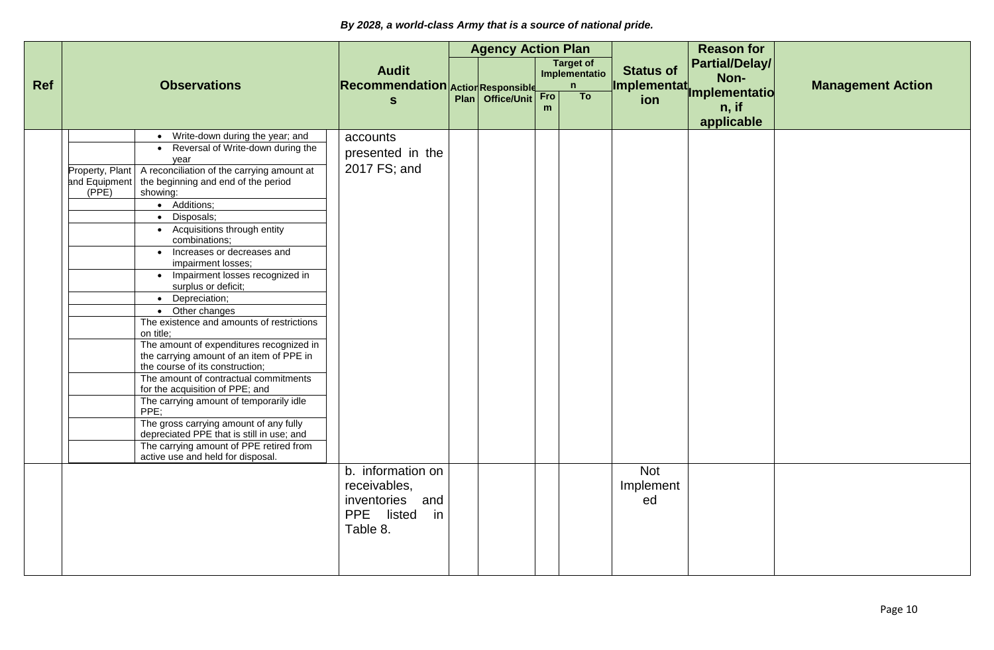|     |                                                                                                                                                                                                                                                                                                                                                                                                                                                                                                                                                                                                                                                                                                                                                                                                                                                                                                                                                                               |                                                                                                   | <b>Agency Action Plan</b> |          |                                                   |                                  | <b>Reason for</b>                    |                          |
|-----|-------------------------------------------------------------------------------------------------------------------------------------------------------------------------------------------------------------------------------------------------------------------------------------------------------------------------------------------------------------------------------------------------------------------------------------------------------------------------------------------------------------------------------------------------------------------------------------------------------------------------------------------------------------------------------------------------------------------------------------------------------------------------------------------------------------------------------------------------------------------------------------------------------------------------------------------------------------------------------|---------------------------------------------------------------------------------------------------|---------------------------|----------|---------------------------------------------------|----------------------------------|--------------------------------------|--------------------------|
| Ref | <b>Observations</b>                                                                                                                                                                                                                                                                                                                                                                                                                                                                                                                                                                                                                                                                                                                                                                                                                                                                                                                                                           | <b>Audit</b><br><b>Recommendation Action Responsible</b>                                          |                           |          | <b>Target of</b><br>Implementatio<br>$\mathsf{n}$ | <b>Status of</b><br>Implementat. | <b>Partial/Delay/</b><br>Non-        | <b>Management Action</b> |
|     |                                                                                                                                                                                                                                                                                                                                                                                                                                                                                                                                                                                                                                                                                                                                                                                                                                                                                                                                                                               | $\mathbf{s}$                                                                                      | Plan   Office/Unit        | Fro<br>m | To                                                | ion                              | Implementatio<br>n, if<br>applicable |                          |
|     | • Write-down during the year; and<br>• Reversal of Write-down during the<br>vear<br>A reconciliation of the carrying amount at<br>Property, Plant<br>and Equipment   the beginning and end of the period<br>(PPE)<br>showing:<br>• Additions;<br>Disposals;<br>$\bullet$<br>• Acquisitions through entity<br>combinations;<br>• Increases or decreases and<br>impairment losses;<br>• Impairment losses recognized in<br>surplus or deficit;<br>• Depreciation;<br>• Other changes<br>The existence and amounts of restrictions<br>on title;<br>The amount of expenditures recognized in<br>the carrying amount of an item of PPE in<br>the course of its construction;<br>The amount of contractual commitments<br>for the acquisition of PPE; and<br>The carrying amount of temporarily idle<br>PPE;<br>The gross carrying amount of any fully<br>depreciated PPE that is still in use; and<br>The carrying amount of PPE retired from<br>active use and held for disposal. | accounts<br>presented in the<br>2017 FS; and                                                      |                           |          |                                                   |                                  |                                      |                          |
|     |                                                                                                                                                                                                                                                                                                                                                                                                                                                                                                                                                                                                                                                                                                                                                                                                                                                                                                                                                                               | b. information on<br>receivables,<br>inventories<br>and<br><b>PPE</b><br>listed<br>in<br>Table 8. |                           |          |                                                   | <b>Not</b><br>Implement<br>ed    |                                      |                          |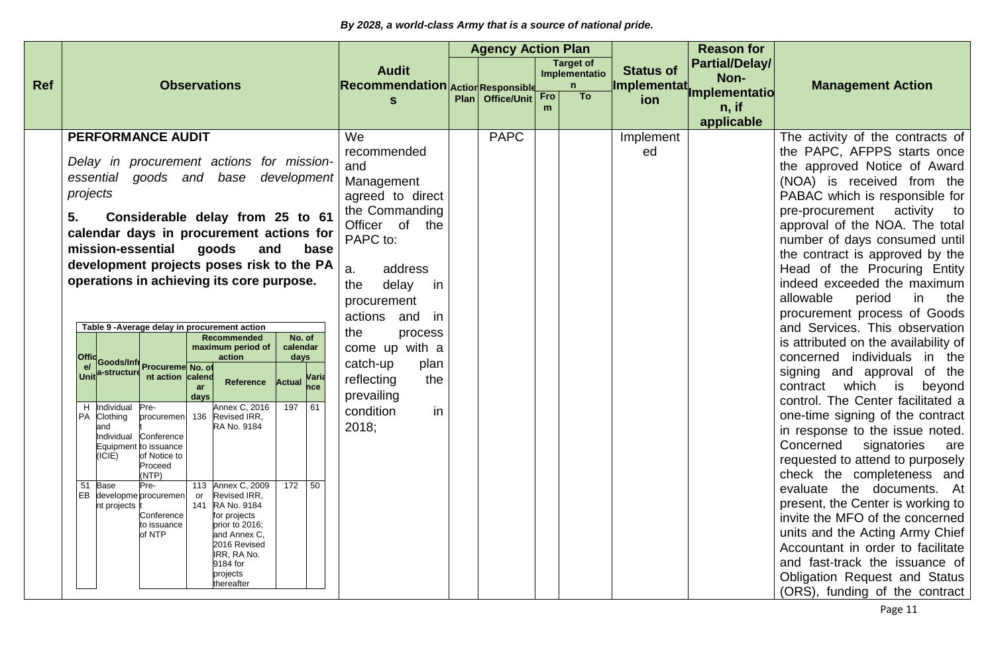|            |                                                                                                                                                                                                                                                                                                                                                                                                                                                                                                                                                                                                                                                                                                                                                                                                                                                                                                                                                                                                                                                                                                                                                                                   |                                                                                                                                                                                                                                                                                                               | <b>Agency Action Plan</b> |            |                                                   |                                  | <b>Reason for</b>                      |                                                                                                                                                                                                                                                                                                                                                                                                                                                                                                                                                                                                                                                                                                                                                                                                                                                                                                                                                                                                                                                                                                                           |
|------------|-----------------------------------------------------------------------------------------------------------------------------------------------------------------------------------------------------------------------------------------------------------------------------------------------------------------------------------------------------------------------------------------------------------------------------------------------------------------------------------------------------------------------------------------------------------------------------------------------------------------------------------------------------------------------------------------------------------------------------------------------------------------------------------------------------------------------------------------------------------------------------------------------------------------------------------------------------------------------------------------------------------------------------------------------------------------------------------------------------------------------------------------------------------------------------------|---------------------------------------------------------------------------------------------------------------------------------------------------------------------------------------------------------------------------------------------------------------------------------------------------------------|---------------------------|------------|---------------------------------------------------|----------------------------------|----------------------------------------|---------------------------------------------------------------------------------------------------------------------------------------------------------------------------------------------------------------------------------------------------------------------------------------------------------------------------------------------------------------------------------------------------------------------------------------------------------------------------------------------------------------------------------------------------------------------------------------------------------------------------------------------------------------------------------------------------------------------------------------------------------------------------------------------------------------------------------------------------------------------------------------------------------------------------------------------------------------------------------------------------------------------------------------------------------------------------------------------------------------------------|
| <b>Ref</b> | <b>Observations</b>                                                                                                                                                                                                                                                                                                                                                                                                                                                                                                                                                                                                                                                                                                                                                                                                                                                                                                                                                                                                                                                                                                                                                               | <b>Audit</b><br><b>Recommendation</b>                                                                                                                                                                                                                                                                         | <b>Action Responsible</b> |            | <b>Target of</b><br>Implementatio<br>$\mathsf{n}$ | <b>Status of</b><br>Implementat. | <b>Partial/Delay/</b><br>Non-          | <b>Management Action</b>                                                                                                                                                                                                                                                                                                                                                                                                                                                                                                                                                                                                                                                                                                                                                                                                                                                                                                                                                                                                                                                                                                  |
|            |                                                                                                                                                                                                                                                                                                                                                                                                                                                                                                                                                                                                                                                                                                                                                                                                                                                                                                                                                                                                                                                                                                                                                                                   |                                                                                                                                                                                                                                                                                                               | Plan Office/Unit          | <b>Fro</b> | To                                                | ion                              | Implementatio<br>$n,$ if<br>applicable |                                                                                                                                                                                                                                                                                                                                                                                                                                                                                                                                                                                                                                                                                                                                                                                                                                                                                                                                                                                                                                                                                                                           |
|            | <b>PERFORMANCE AUDIT</b><br>Delay in procurement actions for mission-<br>goods and base development<br>essential<br>projects<br>Considerable delay from 25 to 61<br>5.<br>calendar days in procurement actions for<br>mission-essential goods<br>and<br>base<br>development projects poses risk to the PA<br>operations in achieving its core purpose.<br>Table 9 - Average delay in procurement action<br><b>Recommended</b><br>No. of<br>maximum period of<br>calendar<br>action<br>Offic<br>e/ Goods/Infractureme No. of<br>Unit a-structure nt action calend<br>days<br>nt action calend<br>Actual Maria<br>Reference<br>ar<br>days<br><b>Annex C, 2016</b><br>197 61<br>H Individual<br>Pre-<br>PA<br>Clothing<br>procuremen 136 Revised IRR,<br>RA No. 9184<br>and<br>Individual<br>Conference<br>Equipment to issuance<br>(ICIE)<br>of Notice to<br>Proceed<br>(NTP)<br>113 Annex C, 2009<br>172 50<br>Pre-<br>51 Base<br>EB<br>developme procuremen<br>Revised IRR,<br>or<br>nt projects<br>141 RA No. 9184<br>Conference<br>for projects<br>prior to 2016;<br>to issuance<br>of NTP<br>and Annex C.<br>2016 Revised<br>IRR, RA No.<br>9184 for<br>projects<br>thereafter | We<br>recommended<br>and<br>Management<br>agreed to direct<br>the Commanding<br>Officer of the<br>PAPC to:<br>a.<br>address<br>the<br>delay<br>in.<br>procurement<br>actions and<br>in<br>the<br>process<br>come up with a<br>catch-up<br>plan<br>reflecting<br>the<br>prevailing<br>condition<br>in<br>2018; | <b>PAPC</b>               |            |                                                   | Implement<br>ed                  |                                        | The activity of the contracts of<br>the PAPC, AFPPS starts once<br>the approved Notice of Award<br>(NOA) is received from the<br>PABAC which is responsible for<br>pre-procurement activity to<br>approval of the NOA. The total<br>number of days consumed until<br>the contract is approved by the<br>Head of the Procuring Entity<br>indeed exceeded the maximum<br>allowable<br>the<br>period<br>in<br>procurement process of Goods<br>and Services. This observation<br>is attributed on the availability of<br>concerned individuals in the<br>signing and approval of the<br>which<br>is<br>contract<br>beyond<br>control. The Center facilitated a<br>one-time signing of the contract<br>in response to the issue noted.<br>signatories<br>Concerned<br>are<br>requested to attend to purposely<br>check the completeness and<br>evaluate the documents. At<br>present, the Center is working to<br>invite the MFO of the concerned<br>units and the Acting Army Chief<br>Accountant in order to facilitate<br>and fast-track the issuance of<br>Obligation Request and Status<br>(ORS), funding of the contract |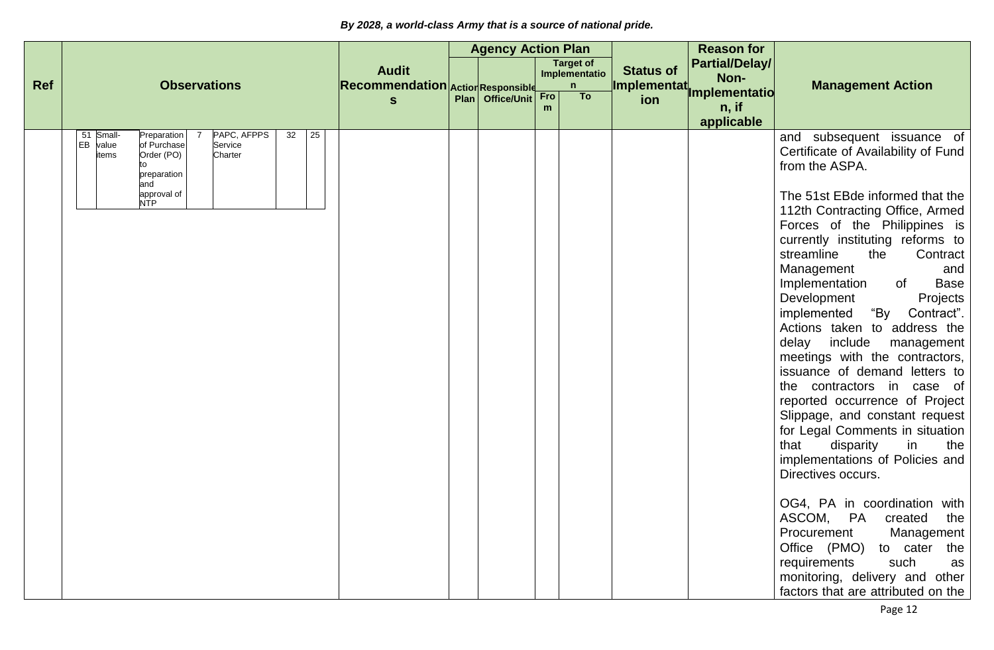|     |                                                                                                                                                                               |                                   | <b>Agency Action Plan</b> |                 |                                   |                    | <b>Reason for</b>      |                                                                                                                                                                                                                                                                                                                                                                                                                                                                                                                                                                                                                                                                                                                                                                                                                                                                                                                                                                                            |
|-----|-------------------------------------------------------------------------------------------------------------------------------------------------------------------------------|-----------------------------------|---------------------------|-----------------|-----------------------------------|--------------------|------------------------|--------------------------------------------------------------------------------------------------------------------------------------------------------------------------------------------------------------------------------------------------------------------------------------------------------------------------------------------------------------------------------------------------------------------------------------------------------------------------------------------------------------------------------------------------------------------------------------------------------------------------------------------------------------------------------------------------------------------------------------------------------------------------------------------------------------------------------------------------------------------------------------------------------------------------------------------------------------------------------------------|
|     |                                                                                                                                                                               | <b>Audit</b>                      |                           |                 | <b>Target of</b><br>Implementatio | <b>Status of</b>   | Partial/Delay/<br>Non- |                                                                                                                                                                                                                                                                                                                                                                                                                                                                                                                                                                                                                                                                                                                                                                                                                                                                                                                                                                                            |
| Ref | <b>Observations</b>                                                                                                                                                           | Recommendation Action Responsible |                           |                 | $\mathsf{n}$                      | <b>Implementat</b> | <b>Implementatio</b>   | <b>Management Action</b>                                                                                                                                                                                                                                                                                                                                                                                                                                                                                                                                                                                                                                                                                                                                                                                                                                                                                                                                                                   |
|     |                                                                                                                                                                               | $\mathbf{s}$                      | Plan   Office/Unit        | <b>Fro</b><br>m | To                                | ion                | n, if                  |                                                                                                                                                                                                                                                                                                                                                                                                                                                                                                                                                                                                                                                                                                                                                                                                                                                                                                                                                                                            |
|     |                                                                                                                                                                               |                                   |                           |                 |                                   |                    | applicable             |                                                                                                                                                                                                                                                                                                                                                                                                                                                                                                                                                                                                                                                                                                                                                                                                                                                                                                                                                                                            |
|     | PAPC, AFPPS<br>32<br>25<br>Small-<br>Preparation<br>51<br>EB<br>value<br>of Purchase<br>Service<br>Order (PO)<br>Charter<br>items<br>preparation<br>and<br>approval of<br>NTP |                                   |                           |                 |                                   |                    |                        | and subsequent issuance of<br>Certificate of Availability of Fund<br>from the ASPA.<br>The 51st EBde informed that the<br>112th Contracting Office, Armed<br>Forces of the Philippines is<br>currently instituting reforms to<br>streamline<br>the<br>Contract<br>Management<br>and<br><b>Base</b><br>Implementation<br>of<br>Development<br>Projects<br>"By Contract".<br>implemented<br>Actions taken to address the<br>include<br>delay<br>management<br>meetings with the contractors,<br>issuance of demand letters to<br>the contractors in case of<br>reported occurrence of Project<br>Slippage, and constant request<br>for Legal Comments in situation<br>disparity<br>in<br>that<br>the<br>implementations of Policies and<br>Directives occurs.<br>OG4, PA in coordination with<br>ASCOM, PA created<br>the<br>Procurement<br>Management<br>Office (PMO)<br>to cater the<br>such<br>requirements<br>as<br>monitoring, delivery and other<br>factors that are attributed on the |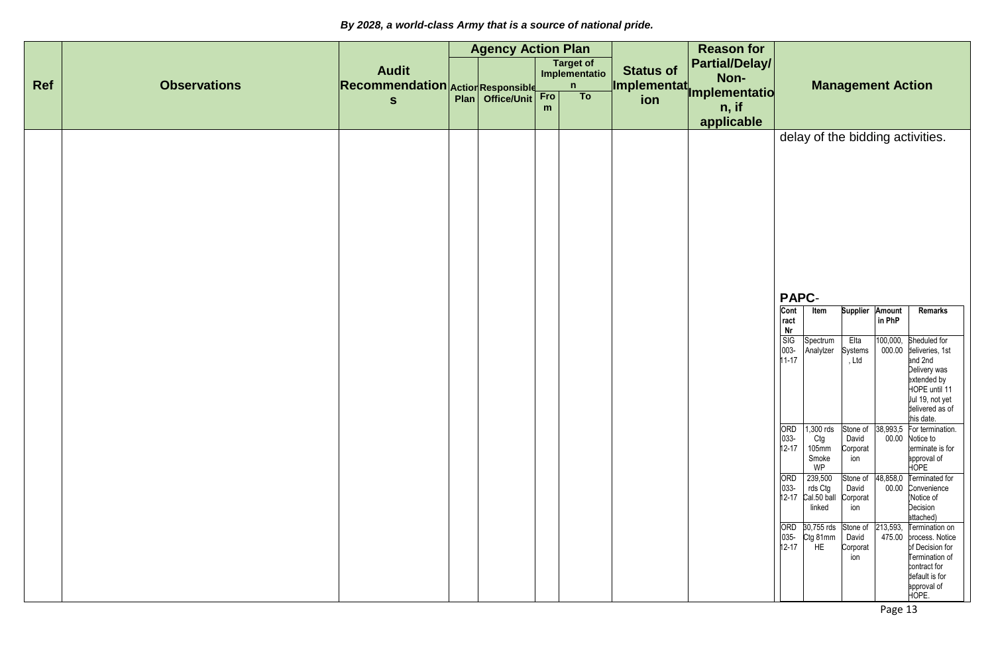|     |                     |                                                   | <b>Agency Action Plan</b> |          |                                            |                                        | <b>Reason for</b>             |                                                                                                              |                                                                                                    |                                                                                                          |                                                                                  |                                                                                                                                                                                                                                                                                                                   |
|-----|---------------------|---------------------------------------------------|---------------------------|----------|--------------------------------------------|----------------------------------------|-------------------------------|--------------------------------------------------------------------------------------------------------------|----------------------------------------------------------------------------------------------------|----------------------------------------------------------------------------------------------------------|----------------------------------------------------------------------------------|-------------------------------------------------------------------------------------------------------------------------------------------------------------------------------------------------------------------------------------------------------------------------------------------------------------------|
| Ref | <b>Observations</b> | <b>Audit</b><br>Recommendation Action Responsible |                           |          | Target of<br>Implementatio<br>$\mathsf{n}$ | <b>Status of</b><br><b>Implementat</b> | <b>Partial/Delay/</b><br>Non- |                                                                                                              |                                                                                                    |                                                                                                          | <b>Management Action</b>                                                         |                                                                                                                                                                                                                                                                                                                   |
|     |                     | $\mathbf{s}$                                      | Plan   Office/Unit        | Fro<br>m | To                                         | ion                                    | <b>Implementatio</b><br>n, if |                                                                                                              |                                                                                                    |                                                                                                          |                                                                                  |                                                                                                                                                                                                                                                                                                                   |
|     |                     |                                                   |                           |          |                                            |                                        | applicable                    | <b>PAPC-</b><br>Cont<br>ract<br>Nr<br><b>SIG</b><br>003-<br>$11 - 17$<br>ORD<br>033-<br>12-17<br>ORD<br>033- | Item<br>Spectrum<br>Analylzer<br>1,300 rds<br>Ctg<br>$105$ mm<br>Smoke<br>WP<br>239,500<br>rds Ctg | <b>Supplier</b><br>Elta<br>Systems<br>, Ltd<br>Stone of<br>David<br>Corporat<br>ion<br>Stone of<br>David | Amount<br>in PhP<br>100,000,<br>000.00<br>38,993,5<br>00.00<br>48,858,0<br>00.00 | delay of the bidding activities.<br>Remarks<br>Sheduled for<br>deliveries, 1st<br>and 2nd<br>Delivery was<br>extended by<br>HOPE until 11<br>Jul 19, not yet<br>delivered as of<br>this date.<br>For termination.<br>Notice to<br>terminate is for<br>approval of<br>HOPE<br><b>Terminated for</b><br>Convenience |
|     |                     |                                                   |                           |          |                                            |                                        |                               | $12 - 17$<br>ORD<br>035-<br>$12 - 17$                                                                        | Cal.50 ball<br>linked<br>30,755 rds<br>Ctg 81mm<br>HE                                              | Corporat<br>ion<br>Stone of<br>David<br>Corporat<br>ion                                                  | 213,593,                                                                         | Notice of<br>Decision<br>attached)<br>Termination on<br>475.00 process. Notice<br>of Decision for<br>Termination of<br>contract for<br>default is for<br>approval of<br>HOPE.                                                                                                                                     |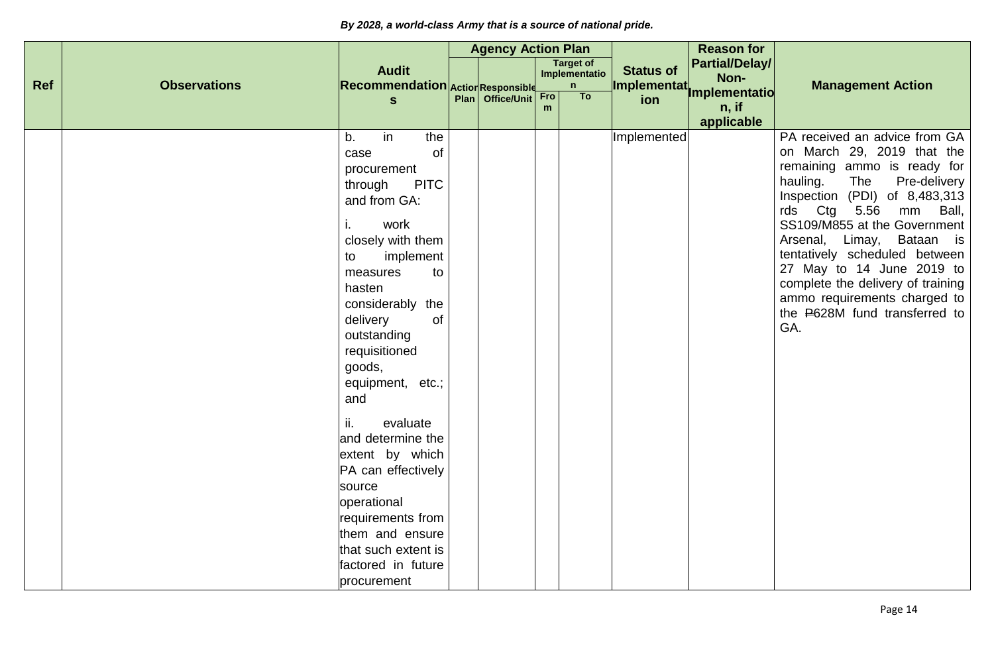|     |                     |                                                                                                                                                                                                                                                                                                                                                                                                                    | <b>Agency Action Plan</b> |          |                                   |                  | <b>Reason for</b>             |                                                                                                                                                                                                                                                                                                                                                                                                                                          |
|-----|---------------------|--------------------------------------------------------------------------------------------------------------------------------------------------------------------------------------------------------------------------------------------------------------------------------------------------------------------------------------------------------------------------------------------------------------------|---------------------------|----------|-----------------------------------|------------------|-------------------------------|------------------------------------------------------------------------------------------------------------------------------------------------------------------------------------------------------------------------------------------------------------------------------------------------------------------------------------------------------------------------------------------------------------------------------------------|
|     |                     | <b>Audit</b>                                                                                                                                                                                                                                                                                                                                                                                                       |                           |          | <b>Target of</b><br>Implementatio | <b>Status of</b> | <b>Partial/Delay/</b><br>Non- |                                                                                                                                                                                                                                                                                                                                                                                                                                          |
| Ref | <b>Observations</b> | <b>Recommendation Action Responsible</b>                                                                                                                                                                                                                                                                                                                                                                           |                           |          | n                                 | Implementat.     | Implementatio                 | <b>Management Action</b>                                                                                                                                                                                                                                                                                                                                                                                                                 |
|     |                     | S                                                                                                                                                                                                                                                                                                                                                                                                                  | Plan   Office/Unit        | Fro<br>m | T <sub>o</sub>                    | ion              | $n,$ if                       |                                                                                                                                                                                                                                                                                                                                                                                                                                          |
|     |                     |                                                                                                                                                                                                                                                                                                                                                                                                                    |                           |          |                                   |                  | applicable                    |                                                                                                                                                                                                                                                                                                                                                                                                                                          |
|     |                     | b.<br>in<br>the<br>of<br>case<br>procurement<br><b>PITC</b><br>through<br>and from GA:<br>i.<br>work<br>closely with them<br>implement<br>to<br>measures<br>to<br>hasten<br>considerably the<br>of<br>delivery<br>outstanding<br>requisitioned<br>goods,<br>equipment, etc.;<br>and<br>ii.<br>evaluate<br>and determine the<br>extent by which<br>PA can effectively<br>source<br>operational<br>requirements from |                           |          |                                   | Implemented      |                               | PA received an advice from GA<br>on March 29, 2019 that the<br>remaining ammo is ready for<br>hauling.<br>The<br>Pre-delivery<br>Inspection (PDI) of 8,483,313<br>Ctg<br>5.56<br>mm Ball,<br>rds<br>SS109/M855 at the Government<br>Arsenal, Limay, Bataan is<br>tentatively scheduled between<br>27 May to 14 June 2019 to<br>complete the delivery of training<br>ammo requirements charged to<br>the P628M fund transferred to<br>GA. |
|     |                     | them and ensure<br>that such extent is                                                                                                                                                                                                                                                                                                                                                                             |                           |          |                                   |                  |                               |                                                                                                                                                                                                                                                                                                                                                                                                                                          |
|     |                     | factored in future                                                                                                                                                                                                                                                                                                                                                                                                 |                           |          |                                   |                  |                               |                                                                                                                                                                                                                                                                                                                                                                                                                                          |
|     |                     | procurement                                                                                                                                                                                                                                                                                                                                                                                                        |                           |          |                                   |                  |                               |                                                                                                                                                                                                                                                                                                                                                                                                                                          |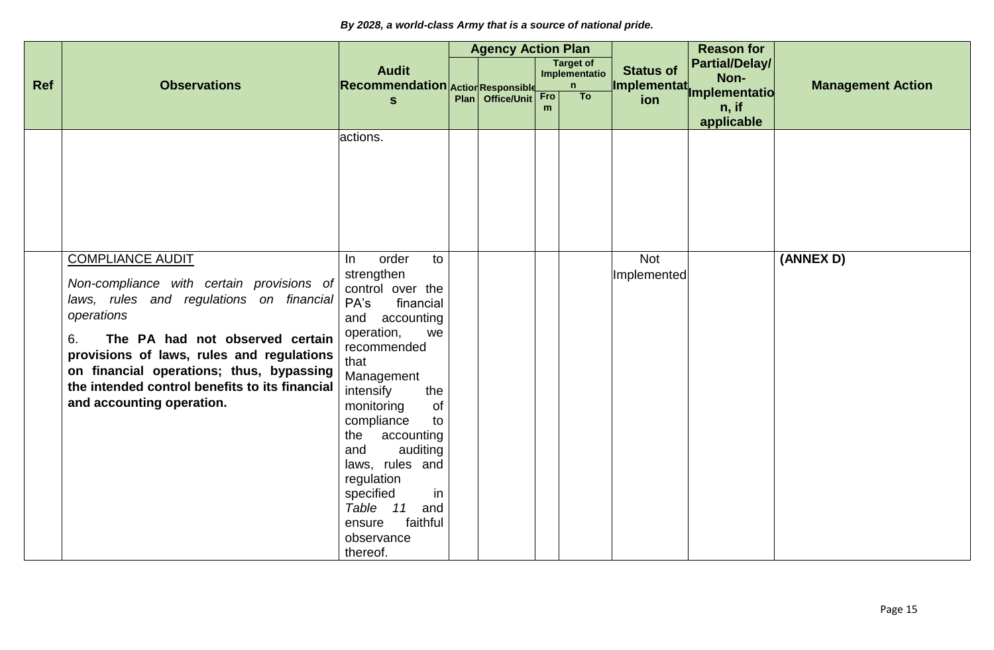|     |                                                                                                                                                                                                                                                                                                                                                 |                                                                                                                                                                                                                                                                                                                                                                                   | <b>Agency Action Plan</b> |          |                                        |                                 | <b>Reason for</b>                             |                          |
|-----|-------------------------------------------------------------------------------------------------------------------------------------------------------------------------------------------------------------------------------------------------------------------------------------------------------------------------------------------------|-----------------------------------------------------------------------------------------------------------------------------------------------------------------------------------------------------------------------------------------------------------------------------------------------------------------------------------------------------------------------------------|---------------------------|----------|----------------------------------------|---------------------------------|-----------------------------------------------|--------------------------|
| Ref | <b>Observations</b>                                                                                                                                                                                                                                                                                                                             | <b>Audit</b><br>Recommendation Action Responsible                                                                                                                                                                                                                                                                                                                                 |                           |          | <b>Target of</b><br>Implementatio<br>n | <b>Status of</b><br>Implementat | <b>Partial/Delay/</b><br>Non-                 | <b>Management Action</b> |
|     |                                                                                                                                                                                                                                                                                                                                                 | $\mathbf{s}$                                                                                                                                                                                                                                                                                                                                                                      | Plan Office/Unit          | Fro<br>m | T <sub>o</sub>                         | ion                             | <b>Implementatio</b><br>$n,$ if<br>applicable |                          |
|     |                                                                                                                                                                                                                                                                                                                                                 | actions.                                                                                                                                                                                                                                                                                                                                                                          |                           |          |                                        |                                 |                                               |                          |
|     | <b>COMPLIANCE AUDIT</b><br>Non-compliance with certain provisions of<br>laws, rules and regulations on financial<br>operations<br>The PA had not observed certain<br>6.<br>provisions of laws, rules and regulations<br>on financial operations; thus, bypassing<br>the intended control benefits to its financial<br>and accounting operation. | order<br>to<br>In<br>strengthen<br>control over the<br>PA's<br>financial<br>and accounting<br>operation,<br>we<br>recommended<br>that<br>Management<br>intensify<br>the<br>of<br>monitoring<br>compliance<br>to<br>accounting<br>the<br>auditing<br>and<br>laws, rules and<br>regulation<br>specified<br>in<br>Table<br>11<br>and<br>faithful<br>ensure<br>observance<br>thereof. |                           |          |                                        | <b>Not</b><br>Implemented       |                                               | (ANNEX D)                |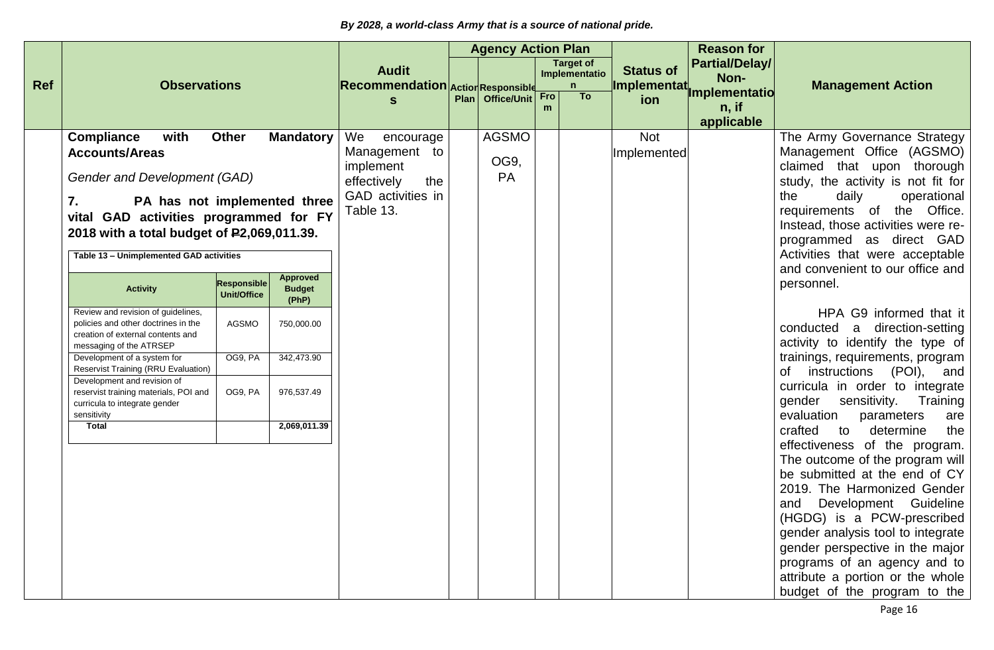|            |                                                                                                                                                                                                                                                                                                                                                                                                                                                                                                                                                                                                                                                  |                                                                                                |                                                                                                                         |                                                                                   |                  | <b>Agency Action Plan</b>  |            |                                        |                                  | <b>Reason for</b>                             |                                                                                                                                                                                                                                                                                                                                                                                                                                                                                                                                                                                                                                                                                                                                                                                                                                                                                                                                                                                                                                               |
|------------|--------------------------------------------------------------------------------------------------------------------------------------------------------------------------------------------------------------------------------------------------------------------------------------------------------------------------------------------------------------------------------------------------------------------------------------------------------------------------------------------------------------------------------------------------------------------------------------------------------------------------------------------------|------------------------------------------------------------------------------------------------|-------------------------------------------------------------------------------------------------------------------------|-----------------------------------------------------------------------------------|------------------|----------------------------|------------|----------------------------------------|----------------------------------|-----------------------------------------------|-----------------------------------------------------------------------------------------------------------------------------------------------------------------------------------------------------------------------------------------------------------------------------------------------------------------------------------------------------------------------------------------------------------------------------------------------------------------------------------------------------------------------------------------------------------------------------------------------------------------------------------------------------------------------------------------------------------------------------------------------------------------------------------------------------------------------------------------------------------------------------------------------------------------------------------------------------------------------------------------------------------------------------------------------|
| <b>Ref</b> | <b>Observations</b>                                                                                                                                                                                                                                                                                                                                                                                                                                                                                                                                                                                                                              |                                                                                                |                                                                                                                         | <b>Audit</b><br>Recommendation Action Responsible                                 |                  |                            |            | <b>Target of</b><br>Implementatio<br>n | <b>Status of</b><br>Implementat, | <b>Partial/Delay/</b><br>Non-                 | <b>Management Action</b>                                                                                                                                                                                                                                                                                                                                                                                                                                                                                                                                                                                                                                                                                                                                                                                                                                                                                                                                                                                                                      |
|            |                                                                                                                                                                                                                                                                                                                                                                                                                                                                                                                                                                                                                                                  |                                                                                                |                                                                                                                         |                                                                                   |                  | Plan Office/Unit           | <b>Fro</b> | To                                     | ion                              | <b>Implementatio</b><br>$n,$ if<br>applicable |                                                                                                                                                                                                                                                                                                                                                                                                                                                                                                                                                                                                                                                                                                                                                                                                                                                                                                                                                                                                                                               |
|            | <b>Compliance</b><br>with<br><b>Accounts/Areas</b><br>Gender and Development (GAD)<br>7.<br>PA has not implemented three<br>vital GAD activities programmed for FY<br>2018 with a total budget of P2,069,011.39.<br>Table 13 - Unimplemented GAD activities<br><b>Activity</b><br>Review and revision of guidelines,<br>policies and other doctrines in the<br>creation of external contents and<br>messaging of the ATRSEP<br>Development of a system for<br><b>Reservist Training (RRU Evaluation)</b><br>Development and revision of<br>reservist training materials, POI and<br>curricula to integrate gender<br>sensitivity<br><b>Total</b> | <b>Other</b><br><b>Responsible</b><br><b>Unit/Office</b><br><b>AGSMO</b><br>OG9, PA<br>OG9, PA | <b>Mandatory</b><br><b>Approved</b><br><b>Budget</b><br>(PhP)<br>750,000.00<br>342,473.90<br>976,537.49<br>2,069,011.39 | We<br>Management to<br>implement<br>effectively<br>GAD activities in<br>Table 13. | encourage<br>the | <b>AGSMO</b><br>OG9,<br>PA |            |                                        | <b>Not</b><br>Implemented        |                                               | The Army Governance Strategy<br>Management Office (AGSMO)<br>claimed that upon thorough<br>study, the activity is not fit for<br>operational<br>the<br>daily<br>requirements of the Office.<br>Instead, those activities were re-<br>programmed as direct GAD<br>Activities that were acceptable<br>and convenient to our office and<br>personnel.<br>HPA G9 informed that it<br>conducted a direction-setting<br>activity to identify the type of<br>trainings, requirements, program<br>of instructions (POI),<br>and<br>curricula in order to integrate<br>gender sensitivity. Training<br>evaluation<br>parameters<br>are<br>crafted<br>to<br>determine<br>the<br>effectiveness of the program.<br>The outcome of the program will<br>be submitted at the end of CY<br>2019. The Harmonized Gender<br>and Development Guideline<br>(HGDG) is a PCW-prescribed<br>gender analysis tool to integrate<br>gender perspective in the major<br>programs of an agency and to<br>attribute a portion or the whole<br>budget of the program to the |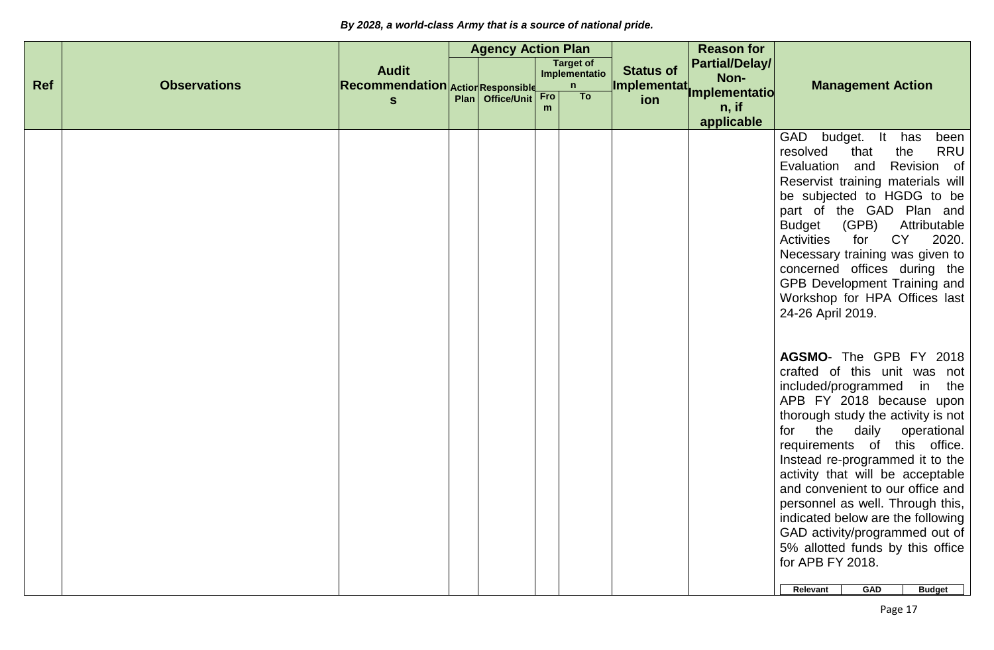|            |                     |                                                   | <b>Agency Action Plan</b> |          |                                        |                                 | <b>Reason for</b>                      |                                                                                                                                                                                                                                                                                                                                                                                                                                                                                                                                                                                                                                                                                                                                                                                                                                                                                                                                                                                                                         |
|------------|---------------------|---------------------------------------------------|---------------------------|----------|----------------------------------------|---------------------------------|----------------------------------------|-------------------------------------------------------------------------------------------------------------------------------------------------------------------------------------------------------------------------------------------------------------------------------------------------------------------------------------------------------------------------------------------------------------------------------------------------------------------------------------------------------------------------------------------------------------------------------------------------------------------------------------------------------------------------------------------------------------------------------------------------------------------------------------------------------------------------------------------------------------------------------------------------------------------------------------------------------------------------------------------------------------------------|
| <b>Ref</b> | <b>Observations</b> | <b>Audit</b><br>Recommendation Action Responsible |                           |          | <b>Target of</b><br>Implementatio<br>n | <b>Status of</b><br>Implementat | <b>Partial/Delay/</b><br>Non-          | <b>Management Action</b>                                                                                                                                                                                                                                                                                                                                                                                                                                                                                                                                                                                                                                                                                                                                                                                                                                                                                                                                                                                                |
|            |                     | $\mathbf{s}$                                      | Plan   Office/Unit        | Fro<br>m | To                                     | ion                             | Implementatio<br>$n,$ if<br>applicable |                                                                                                                                                                                                                                                                                                                                                                                                                                                                                                                                                                                                                                                                                                                                                                                                                                                                                                                                                                                                                         |
|            |                     |                                                   |                           |          |                                        |                                 |                                        | budget. It has<br>GAD<br>been<br><b>RRU</b><br>resolved<br>that<br>the<br>Revision of<br>Evaluation and<br>Reservist training materials will<br>be subjected to HGDG to be<br>part of the GAD Plan and<br><b>Budget</b><br>(GPB)<br>Attributable<br><b>CY</b><br><b>Activities</b><br>for<br>2020.<br>Necessary training was given to<br>concerned offices during the<br>GPB Development Training and<br>Workshop for HPA Offices last<br>24-26 April 2019.<br>AGSMO- The GPB FY 2018<br>crafted of this unit was not<br>included/programmed in<br>the<br>APB FY 2018 because upon<br>thorough study the activity is not<br>the<br>daily<br>operational<br>for<br>requirements of this office.<br>Instead re-programmed it to the<br>activity that will be acceptable<br>and convenient to our office and<br>personnel as well. Through this,<br>indicated below are the following<br>GAD activity/programmed out of<br>5% allotted funds by this office<br>for APB FY 2018.<br><b>GAD</b><br><b>Budget</b><br>Relevant |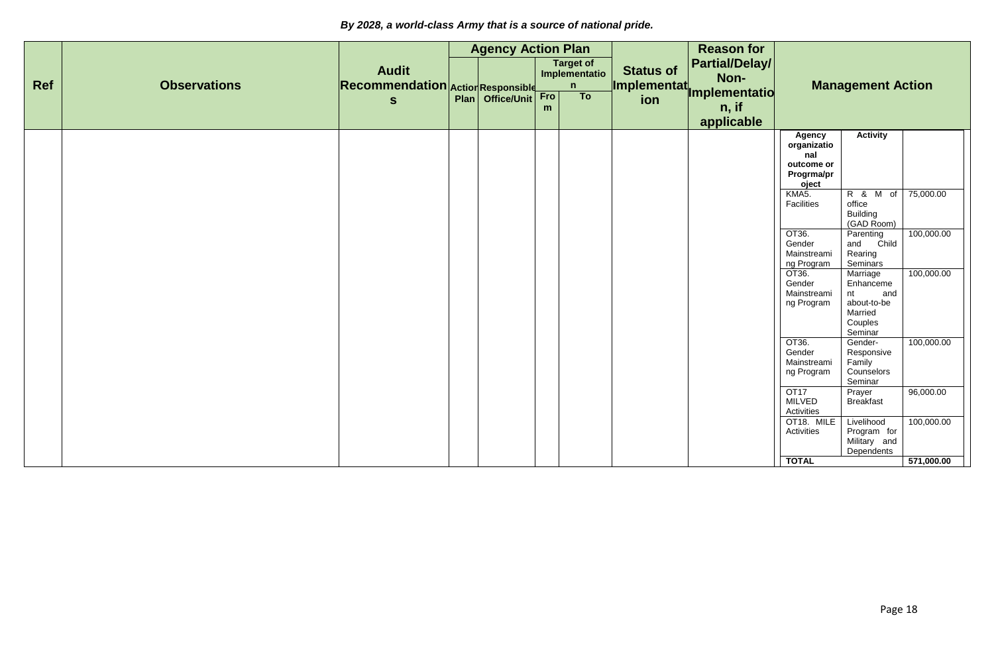|            |                     |                                                   | <b>Agency Action Plan</b> |     |                                        |                  | <b>Reason for</b>                                             |                                                                                                                                                                                                          |                                                                                                                                                                                                                             |                                                     |
|------------|---------------------|---------------------------------------------------|---------------------------|-----|----------------------------------------|------------------|---------------------------------------------------------------|----------------------------------------------------------------------------------------------------------------------------------------------------------------------------------------------------------|-----------------------------------------------------------------------------------------------------------------------------------------------------------------------------------------------------------------------------|-----------------------------------------------------|
| <b>Ref</b> | <b>Observations</b> | <b>Audit</b><br>Recommendation Action Responsible |                           |     | <b>Target of</b><br>Implementatio<br>n | <b>Status of</b> | <b>Partial/Delay/</b><br>Non-<br>Implementat<br>Implementatio |                                                                                                                                                                                                          | <b>Management Action</b>                                                                                                                                                                                                    |                                                     |
|            |                     | $\mathbf{s}$                                      | Plan Office/Unit          | Fro | To                                     |                  |                                                               |                                                                                                                                                                                                          |                                                                                                                                                                                                                             |                                                     |
|            |                     |                                                   |                           | m   |                                        |                  | n, if                                                         |                                                                                                                                                                                                          |                                                                                                                                                                                                                             |                                                     |
|            |                     |                                                   |                           |     |                                        |                  | applicable                                                    | <b>Agency</b><br>organizatio<br>nal<br>outcome or<br>Progrma/pr<br>oject<br>KMA5.<br>Facilities<br>OT36.<br>Gender<br>Mainstreami<br>ng Program<br>OT36.<br>Gender<br>Mainstreami<br>ng Program<br>OT36. | <b>Activity</b><br>R & M of<br>office<br><b>Building</b><br>(GAD Room)<br>Parenting<br>Child<br>and<br>Rearing<br>Seminars<br>Marriage<br>Enhanceme<br>nt<br>and<br>about-to-be<br>Married<br>Couples<br>Seminar<br>Gender- | 75,000.00<br>100,000.00<br>100,000.00<br>100,000.00 |
|            |                     |                                                   |                           |     |                                        |                  |                                                               | Gender<br>Mainstreami<br>ng Program                                                                                                                                                                      | Responsive<br>Family<br>Counselors<br>Seminar                                                                                                                                                                               |                                                     |
|            |                     |                                                   |                           |     |                                        |                  |                                                               | <b>OT17</b><br><b>MILVED</b><br>Activities                                                                                                                                                               | Prayer<br><b>Breakfast</b>                                                                                                                                                                                                  | 96,000.00                                           |
|            |                     |                                                   |                           |     |                                        |                  |                                                               | OT18. MILE<br>Activities                                                                                                                                                                                 | Livelihood<br>Program for<br>Military and                                                                                                                                                                                   | 100,000.00                                          |
|            |                     |                                                   |                           |     |                                        |                  |                                                               | <b>TOTAL</b>                                                                                                                                                                                             | Dependents                                                                                                                                                                                                                  | 571,000.00                                          |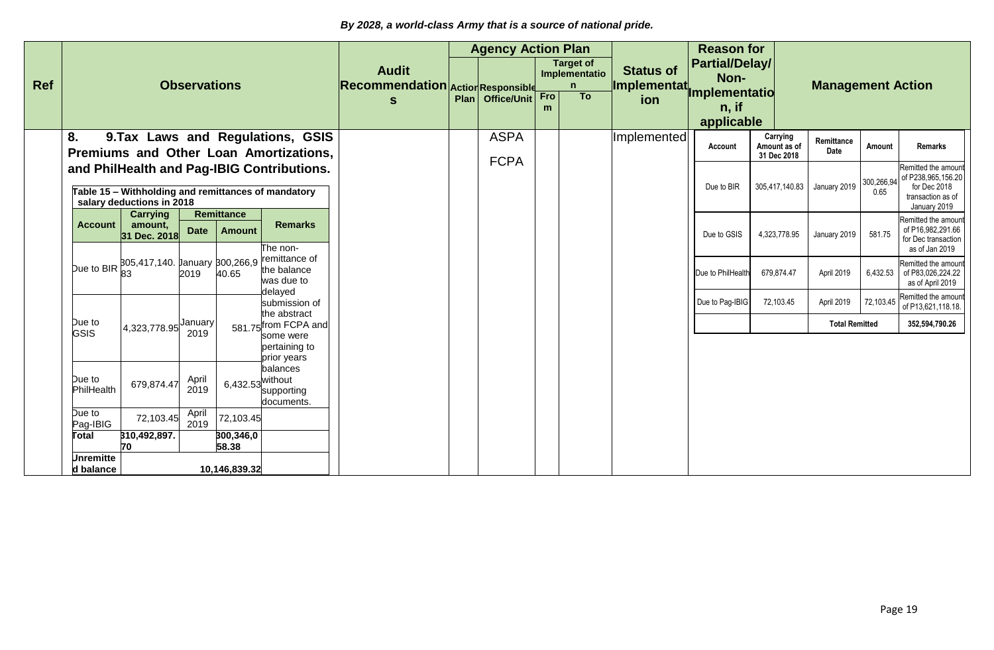|            |                               |                                                                                  |                     |                                    |                                                                             |                                                   | <b>Agency Action Plan</b>  |     |                                                   |                                               | <b>Reason for</b>             |                                         |                          |           |                                                                                          |
|------------|-------------------------------|----------------------------------------------------------------------------------|---------------------|------------------------------------|-----------------------------------------------------------------------------|---------------------------------------------------|----------------------------|-----|---------------------------------------------------|-----------------------------------------------|-------------------------------|-----------------------------------------|--------------------------|-----------|------------------------------------------------------------------------------------------|
| <b>Ref</b> |                               |                                                                                  | <b>Observations</b> |                                    |                                                                             | <b>Audit</b><br>Recommendation Action Responsible |                            |     | <b>Target of</b><br>Implementatio<br>$\mathsf{n}$ | <b>Status of</b><br>Implementat <sub>i.</sub> | <b>Partial/Delay/</b><br>Non- |                                         | <b>Management Action</b> |           |                                                                                          |
|            |                               |                                                                                  |                     |                                    |                                                                             | S                                                 | Plan   Office/Unit         | Fro | To                                                | ion                                           | Implementatio                 |                                         |                          |           |                                                                                          |
|            |                               |                                                                                  |                     |                                    |                                                                             |                                                   |                            |     |                                                   |                                               | $n,$ if                       |                                         |                          |           |                                                                                          |
|            |                               |                                                                                  |                     |                                    |                                                                             |                                                   |                            |     |                                                   |                                               | applicable                    |                                         |                          |           |                                                                                          |
|            | 8.                            |                                                                                  |                     |                                    | 9. Tax Laws and Regulations, GSIS<br>Premiums and Other Loan Amortizations, |                                                   | <b>ASPA</b><br><b>FCPA</b> |     |                                                   | Implemented                                   | Account                       | Carrying<br>Amount as of<br>31 Dec 2018 | Remittance<br>Date       | Amount    | Remarks                                                                                  |
|            |                               | Table 15 - Withholding and remittances of mandatory<br>salary deductions in 2018 |                     |                                    | and PhilHealth and Pag-IBIG Contributions.                                  |                                                   |                            |     |                                                   |                                               | Due to BIR                    | 305,417,140.83                          | January 2019             | 0.65      | Remitted the amoun<br>300,266,94 of P238,965,156.20<br>for Dec 2018<br>transaction as of |
|            | <b>Account</b>                | <b>Carrying</b><br>amount,                                                       | <b>Date</b>         | <b>Remittance</b><br><b>Amount</b> | <b>Remarks</b>                                                              |                                                   |                            |     |                                                   |                                               |                               |                                         |                          |           | January 2019<br>Remitted the amoun<br>of P16,982,291.66                                  |
|            |                               | 31 Dec. 2018                                                                     |                     |                                    | The non-                                                                    |                                                   |                            |     |                                                   |                                               | Due to GSIS                   | 4,323,778.95                            | January 2019             | 581.75    | for Dec transaction<br>as of Jan 2019                                                    |
|            |                               | Due to BIR 805,417,140. January 800,266,9                                        |                     |                                    | remittance of<br>the balance<br>was due to                                  |                                                   |                            |     |                                                   |                                               | Due to PhilHealth             | 679,874.47                              | April 2019               |           | Remitted the amoun<br>6,432.53 of P83,026,224.22<br>as of April 2019                     |
|            |                               |                                                                                  |                     |                                    | delayed<br>submission of<br>the abstract                                    |                                                   |                            |     |                                                   |                                               | Due to Pag-IBIG               | 72,103.45                               | April 2019               | 72,103.45 | Remitted the amoun<br>of P13,621,118.18.                                                 |
|            | Due to<br>GSIS                | 4,323,778.95 January                                                             | 2019                |                                    | 581.75 from FCPA and<br>some were                                           |                                                   |                            |     |                                                   |                                               |                               |                                         | <b>Total Remitted</b>    |           | 352,594,790.26                                                                           |
|            |                               |                                                                                  |                     |                                    | pertaining to<br>prior years                                                |                                                   |                            |     |                                                   |                                               |                               |                                         |                          |           |                                                                                          |
|            | Due to<br>PhilHealth          | 679,874.47                                                                       | April<br>2019       | 6,432.53 <sup>Without</sup>        | balances<br>supporting<br>documents.                                        |                                                   |                            |     |                                                   |                                               |                               |                                         |                          |           |                                                                                          |
|            | Due to<br>Pag-IBIG            | 72,103.45                                                                        | April<br>2019       | 72,103.45                          |                                                                             |                                                   |                            |     |                                                   |                                               |                               |                                         |                          |           |                                                                                          |
|            | <b>Total</b>                  | 310,492,897.<br>70                                                               |                     | 300,346,0<br>58.38                 |                                                                             |                                                   |                            |     |                                                   |                                               |                               |                                         |                          |           |                                                                                          |
|            | <b>Unremitte</b><br>d balance |                                                                                  |                     | 10,146,839.32                      |                                                                             |                                                   |                            |     |                                                   |                                               |                               |                                         |                          |           |                                                                                          |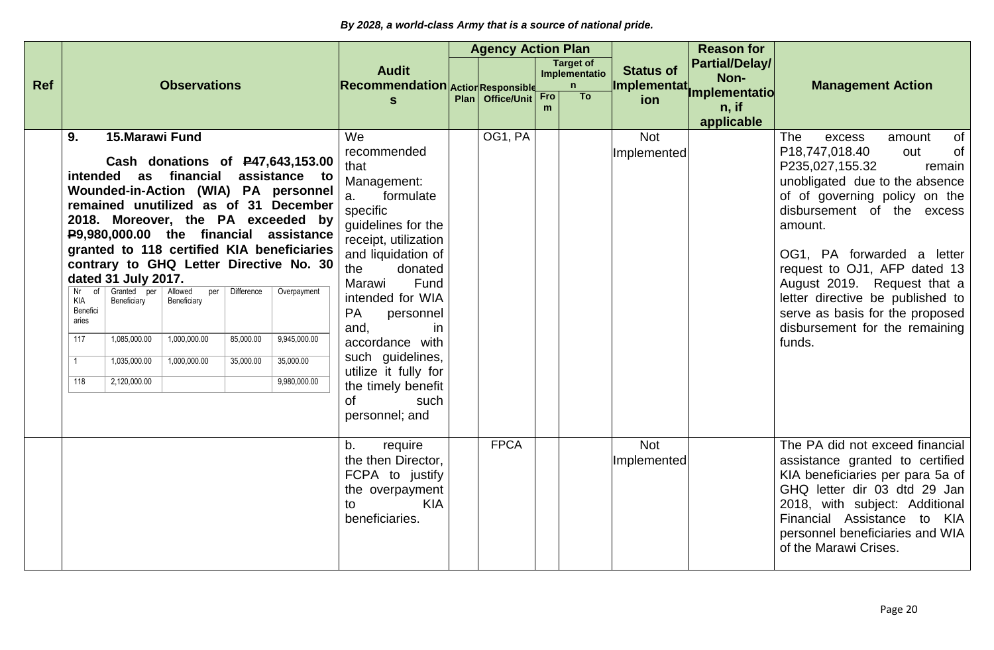|            |                                                                                                                                                                                                                                                                                                                                                                                                                                                                                                       |                                                                                                   |                                      |                                                          |                                                                                                                                                                                                                                                                                                                                                                         | <b>Agency Action Plan</b> |          |                                        |                                 | <b>Reason for</b>                      |                                                                                                                                                                                                                                                                                                                                                                                                                                     |
|------------|-------------------------------------------------------------------------------------------------------------------------------------------------------------------------------------------------------------------------------------------------------------------------------------------------------------------------------------------------------------------------------------------------------------------------------------------------------------------------------------------------------|---------------------------------------------------------------------------------------------------|--------------------------------------|----------------------------------------------------------|-------------------------------------------------------------------------------------------------------------------------------------------------------------------------------------------------------------------------------------------------------------------------------------------------------------------------------------------------------------------------|---------------------------|----------|----------------------------------------|---------------------------------|----------------------------------------|-------------------------------------------------------------------------------------------------------------------------------------------------------------------------------------------------------------------------------------------------------------------------------------------------------------------------------------------------------------------------------------------------------------------------------------|
| <b>Ref</b> |                                                                                                                                                                                                                                                                                                                                                                                                                                                                                                       | <b>Observations</b>                                                                               |                                      |                                                          | <b>Audit</b><br>Recommendation Action Responsible                                                                                                                                                                                                                                                                                                                       |                           |          | <b>Target of</b><br>Implementatio<br>n | <b>Status of</b><br>Implementat | <b>Partial/Delay/</b><br>Non-          | <b>Management Action</b>                                                                                                                                                                                                                                                                                                                                                                                                            |
|            |                                                                                                                                                                                                                                                                                                                                                                                                                                                                                                       |                                                                                                   |                                      |                                                          | S                                                                                                                                                                                                                                                                                                                                                                       | Plan Office/Unit          | Fro<br>m | T <sub>o</sub>                         | ion                             | Implementatio<br>$n,$ if<br>applicable |                                                                                                                                                                                                                                                                                                                                                                                                                                     |
|            | 15. Marawi Fund<br>9.<br>intended as financial assistance to<br>Wounded-in-Action (WIA) PA personnel<br>remained unutilized as of 31 December<br>2018. Moreover, the PA exceeded by<br>P9,980,000.00 the financial assistance<br>granted to 118 certified KIA beneficiaries<br>contrary to GHQ Letter Directive No. 30<br>dated 31 July 2017.<br>$Nr$ of<br>Granted<br>per<br>Beneficiary<br>KIA<br>Benefici<br>aries<br>1,085,000.00<br>117<br>1,035,000.00<br>$\overline{1}$<br>2,120,000.00<br>118 | Cash donations of P47,643,153.00<br>Allowed<br>per<br>Beneficiary<br>1,000,000.00<br>1,000,000.00 | Difference<br>85,000.00<br>35,000.00 | Overpayment<br>9,945,000.00<br>35,000.00<br>9,980,000.00 | We<br>recommended<br>that<br>Management:<br>a.<br>formulate<br>specific<br>guidelines for the<br>receipt, utilization<br>and liquidation of<br>the<br>donated<br>Marawi<br>Fund<br>intended for WIA<br><b>PA</b><br>personnel<br>and,<br>in<br>accordance with<br>such guidelines,<br>utilize it fully for<br>the timely benefit<br><b>of</b><br>such<br>personnel; and | OG1, PA                   |          |                                        | <b>Not</b><br>Implemented       |                                        | <b>The</b><br><b>of</b><br>excess<br>amount<br>P18,747,018.40<br>of<br>out<br>P235,027,155.32<br>remain<br>unobligated due to the absence<br>of of governing policy on the<br>disbursement of the excess<br>amount.<br>OG1, PA forwarded a letter<br>request to OJ1, AFP dated 13<br>August 2019. Request that a<br>letter directive be published to<br>serve as basis for the proposed<br>disbursement for the remaining<br>funds. |
|            |                                                                                                                                                                                                                                                                                                                                                                                                                                                                                                       |                                                                                                   |                                      |                                                          | b.<br>require<br>the then Director,<br>FCPA to justify<br>the overpayment<br><b>KIA</b><br>to<br>beneficiaries.                                                                                                                                                                                                                                                         | <b>FPCA</b>               |          |                                        | <b>Not</b><br>Implemented       |                                        | The PA did not exceed financial<br>assistance granted to certified<br>KIA beneficiaries per para 5a of<br>GHQ letter dir 03 dtd 29 Jan<br>2018, with subject: Additional<br>Financial Assistance to KIA<br>personnel beneficiaries and WIA<br>of the Marawi Crises.                                                                                                                                                                 |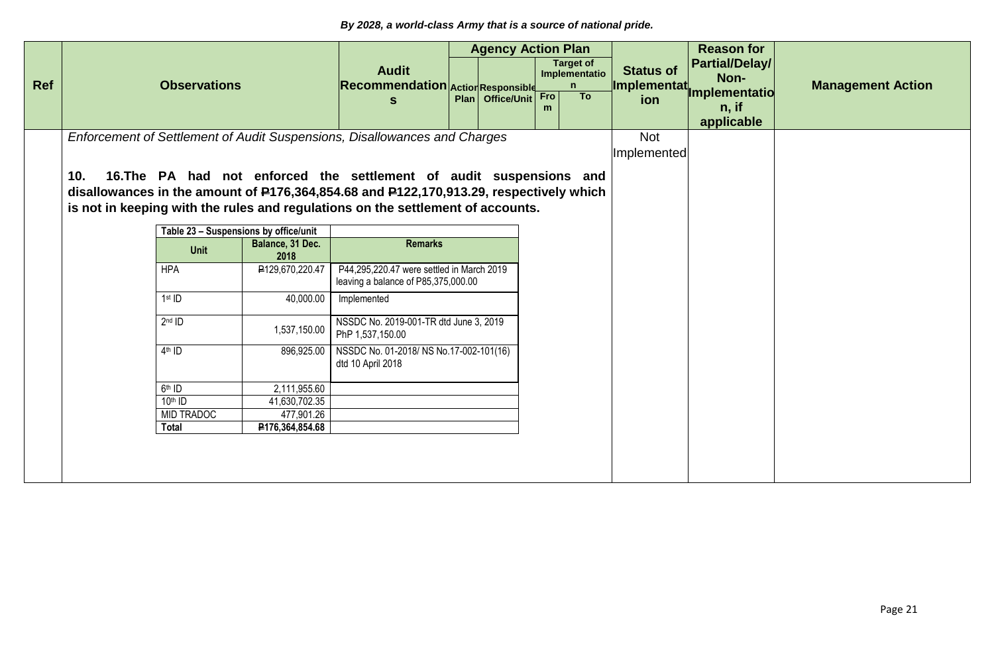|            |     |                     |                                       |                                                                                        | <b>Agency Action Plan</b> |          |                                        |                                  | <b>Reason for</b>                      |                          |
|------------|-----|---------------------|---------------------------------------|----------------------------------------------------------------------------------------|---------------------------|----------|----------------------------------------|----------------------------------|----------------------------------------|--------------------------|
| <b>Ref</b> |     | <b>Observations</b> |                                       | <b>Audit</b><br>Recommendation Action Responsible                                      |                           |          | <b>Target of</b><br>Implementatio<br>n | <b>Status of</b><br>Implementat. | Partial/Delay/<br>Non-                 | <b>Management Action</b> |
|            |     |                     |                                       | S                                                                                      | Plan Office/Unit          | Fro<br>m | <b>To</b>                              | ion                              | Implementatio<br>$n,$ if<br>applicable |                          |
|            |     |                     |                                       | Enforcement of Settlement of Audit Suspensions, Disallowances and Charges              |                           |          |                                        | <b>Not</b>                       |                                        |                          |
|            |     |                     |                                       |                                                                                        |                           |          |                                        | Implemented                      |                                        |                          |
|            |     |                     |                                       |                                                                                        |                           |          |                                        |                                  |                                        |                          |
|            | 10. |                     |                                       | 16. The PA had not enforced the settlement of audit suspensions and                    |                           |          |                                        |                                  |                                        |                          |
|            |     |                     |                                       | disallowances in the amount of P176,364,854.68 and P122,170,913.29, respectively which |                           |          |                                        |                                  |                                        |                          |
|            |     |                     |                                       | is not in keeping with the rules and regulations on the settlement of accounts.        |                           |          |                                        |                                  |                                        |                          |
|            |     |                     | Table 23 - Suspensions by office/unit |                                                                                        |                           |          |                                        |                                  |                                        |                          |
|            |     |                     | Balance, 31 Dec.                      | <b>Remarks</b>                                                                         |                           |          |                                        |                                  |                                        |                          |
|            |     | <b>Unit</b>         | 2018                                  |                                                                                        |                           |          |                                        |                                  |                                        |                          |
|            |     | <b>HPA</b>          | ₽129,670,220.47                       | P44,295,220.47 were settled in March 2019<br>leaving a balance of P85,375,000.00       |                           |          |                                        |                                  |                                        |                          |
|            |     | $1st$ ID            | 40,000.00                             | Implemented                                                                            |                           |          |                                        |                                  |                                        |                          |
|            |     | $2nd$ ID            | 1,537,150.00                          | NSSDC No. 2019-001-TR dtd June 3, 2019<br>PhP 1,537,150.00                             |                           |          |                                        |                                  |                                        |                          |
|            |     | $4th$ ID            | 896,925.00                            | NSSDC No. 01-2018/ NS No.17-002-101(16)<br>dtd 10 April 2018                           |                           |          |                                        |                                  |                                        |                          |
|            |     | 6 <sup>th</sup> ID  | 2,111,955.60                          |                                                                                        |                           |          |                                        |                                  |                                        |                          |
|            |     | $10th$ ID           | 41,630,702.35                         |                                                                                        |                           |          |                                        |                                  |                                        |                          |
|            |     | <b>MID TRADOC</b>   | 477,901.26                            |                                                                                        |                           |          |                                        |                                  |                                        |                          |
|            |     | Total               | P176,364,854.68                       |                                                                                        |                           |          |                                        |                                  |                                        |                          |
|            |     |                     |                                       |                                                                                        |                           |          |                                        |                                  |                                        |                          |
|            |     |                     |                                       |                                                                                        |                           |          |                                        |                                  |                                        |                          |
|            |     |                     |                                       |                                                                                        |                           |          |                                        |                                  |                                        |                          |
|            |     |                     |                                       |                                                                                        |                           |          |                                        |                                  |                                        |                          |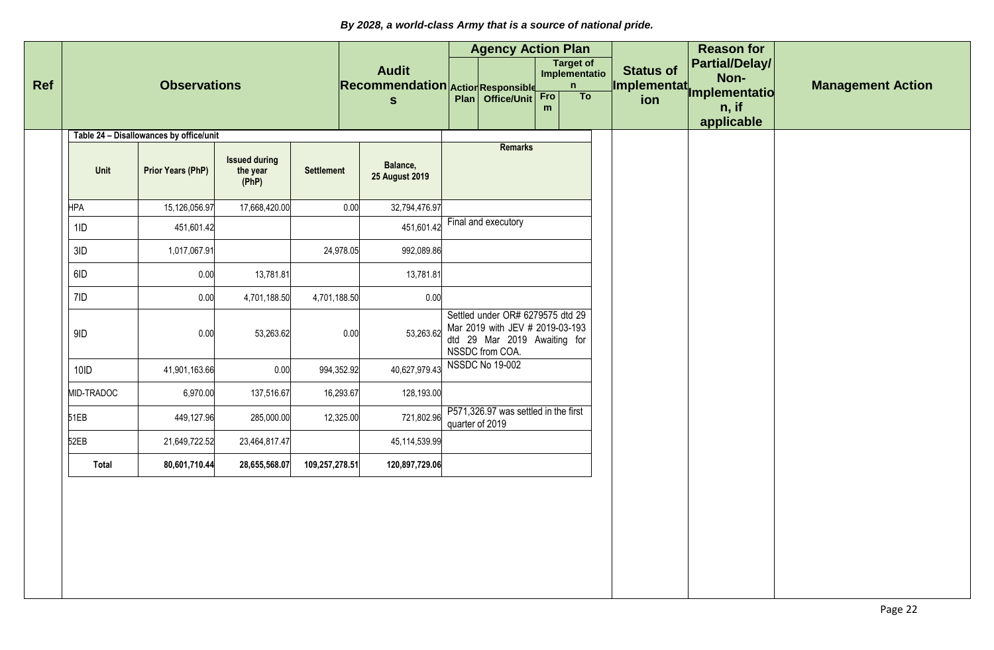|              |                                         |                                           |                   |                                                   | <b>Agency Action Plan</b>                                                                                              |          |                                        |                                  | <b>Reason for</b>                      |                          |
|--------------|-----------------------------------------|-------------------------------------------|-------------------|---------------------------------------------------|------------------------------------------------------------------------------------------------------------------------|----------|----------------------------------------|----------------------------------|----------------------------------------|--------------------------|
|              | <b>Observations</b>                     |                                           |                   | <b>Audit</b><br>Recommendation Action Responsible |                                                                                                                        |          | <b>Target of</b><br>Implementatio<br>n | <b>Status of</b><br>Implementat. | Partial/Delay/<br>Non-                 | <b>Management Action</b> |
|              |                                         |                                           |                   | $\mathbf{s}$                                      | Plan Office/Unit                                                                                                       | Fro<br>m | To                                     | ion                              | Implementatio<br>$n,$ if<br>applicable |                          |
|              | Table 24 - Disallowances by office/unit |                                           |                   |                                                   | <b>Remarks</b>                                                                                                         |          |                                        |                                  |                                        |                          |
| Unit         | Prior Years (PhP)                       | <b>Issued during</b><br>the year<br>(PhP) | <b>Settlement</b> | Balance,<br><b>25 August 2019</b>                 |                                                                                                                        |          |                                        |                                  |                                        |                          |
| <b>HPA</b>   | 15,126,056.97                           | 17,668,420.00                             |                   | 0.00<br>32,794,476.97                             |                                                                                                                        |          |                                        |                                  |                                        |                          |
| 1ID          | 451,601.42                              |                                           |                   | 451,601.42                                        | Final and executory                                                                                                    |          |                                        |                                  |                                        |                          |
| 3ID          | 1,017,067.91                            |                                           | 24,978.05         | 992,089.86                                        |                                                                                                                        |          |                                        |                                  |                                        |                          |
| 6ID          | 0.00                                    | 13,781.81                                 |                   | 13,781.81                                         |                                                                                                                        |          |                                        |                                  |                                        |                          |
| 7ID          | 0.00                                    | 4,701,188.50                              | 4,701,188.50      | 0.00                                              |                                                                                                                        |          |                                        |                                  |                                        |                          |
| 9ID          | 0.00                                    | 53,263.62                                 |                   | 53,263.62<br>0.00                                 | Settled under OR# 6279575 dtd 29<br>Mar 2019 with JEV # 2019-03-193<br>dtd 29 Mar 2019 Awaiting for<br>NSSDC from COA. |          |                                        |                                  |                                        |                          |
| $10$ ID      | 41,901,163.66                           | 0.00                                      | 994,352.92        | 40,627,979.43                                     | <b>NSSDC No 19-002</b>                                                                                                 |          |                                        |                                  |                                        |                          |
| MID-TRADOC   | 6,970.00                                | 137,516.67                                | 16,293.67         | 128,193.00                                        |                                                                                                                        |          |                                        |                                  |                                        |                          |
| 51EB         | 449,127.96                              | 285,000.00                                | 12,325.00         | 721,802.96                                        | P571,326.97 was settled in the first<br>quarter of 2019                                                                |          |                                        |                                  |                                        |                          |
| 52EB         | 21,649,722.52                           | 23,464,817.47                             |                   | 45,114,539.99                                     |                                                                                                                        |          |                                        |                                  |                                        |                          |
| <b>Total</b> | 80,601,710.44                           | 28,655,568.07                             | 109,257,278.51    | 120,897,729.06                                    |                                                                                                                        |          |                                        |                                  |                                        |                          |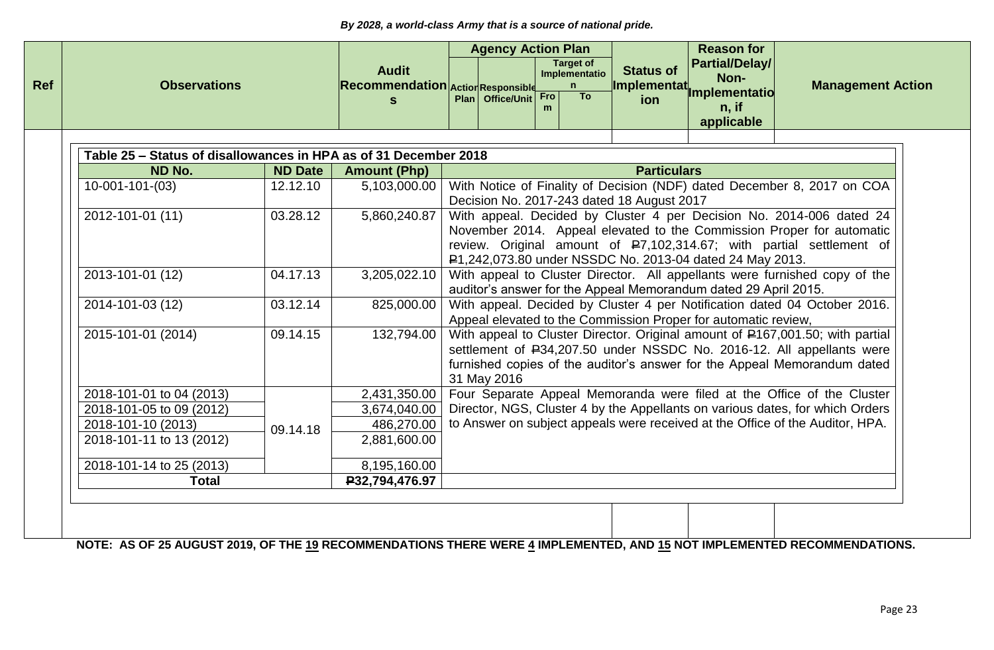| <b>Agency Action Plan</b><br><b>Reason for</b><br><b>Target of</b> |                     |                |                                                                  |                                                                                                                                  |                  |     |                           |                                            |                                                                |                                                                               |  |
|--------------------------------------------------------------------|---------------------|----------------|------------------------------------------------------------------|----------------------------------------------------------------------------------------------------------------------------------|------------------|-----|---------------------------|--------------------------------------------|----------------------------------------------------------------|-------------------------------------------------------------------------------|--|
|                                                                    | <b>Observations</b> |                | <b>Audit</b><br>Recommendation Action Responsible<br>S           |                                                                                                                                  | Plan Office/Unit | Fro | Implementatio<br>n.<br>To | <b>Status of</b><br>Implementat<br>ion     | <b>Partial/Delay/</b><br>Non-<br><b>Implementatio</b>          | <b>Management Action</b>                                                      |  |
|                                                                    |                     |                |                                                                  |                                                                                                                                  |                  | m   |                           |                                            | $n,$ if<br>applicable                                          |                                                                               |  |
|                                                                    |                     |                | Table 25 – Status of disallowances in HPA as of 31 December 2018 |                                                                                                                                  |                  |     |                           |                                            |                                                                |                                                                               |  |
| ND No.                                                             |                     | <b>ND Date</b> | <b>Amount (Php)</b>                                              |                                                                                                                                  |                  |     |                           | <b>Particulars</b>                         |                                                                |                                                                               |  |
| $10-001-101-(03)$                                                  |                     | 12.12.10       | 5,103,000.00                                                     |                                                                                                                                  |                  |     |                           |                                            |                                                                | With Notice of Finality of Decision (NDF) dated December 8, 2017 on COA       |  |
|                                                                    |                     |                |                                                                  |                                                                                                                                  |                  |     |                           | Decision No. 2017-243 dated 18 August 2017 |                                                                |                                                                               |  |
| 2012-101-01 (11)                                                   |                     | 03.28.12       | 5,860,240.87                                                     |                                                                                                                                  |                  |     |                           |                                            |                                                                | With appeal. Decided by Cluster 4 per Decision No. 2014-006 dated 24          |  |
|                                                                    |                     |                |                                                                  |                                                                                                                                  |                  |     |                           |                                            |                                                                | November 2014. Appeal elevated to the Commission Proper for automatic         |  |
|                                                                    |                     |                |                                                                  | review. Original amount of P7,102,314.67; with partial settlement of<br>P1,242,073.80 under NSSDC No. 2013-04 dated 24 May 2013. |                  |     |                           |                                            |                                                                |                                                                               |  |
|                                                                    |                     |                |                                                                  | With appeal to Cluster Director. All appellants were furnished copy of the                                                       |                  |     |                           |                                            |                                                                |                                                                               |  |
| 2013-101-01 (12)                                                   |                     | 04.17.13       | 3,205,022.10                                                     | auditor's answer for the Appeal Memorandum dated 29 April 2015.                                                                  |                  |     |                           |                                            |                                                                |                                                                               |  |
| 2014-101-03 (12)                                                   |                     | 03.12.14       | 825,000.00                                                       |                                                                                                                                  |                  |     |                           |                                            |                                                                | With appeal. Decided by Cluster 4 per Notification dated 04 October 2016.     |  |
|                                                                    |                     |                |                                                                  |                                                                                                                                  |                  |     |                           |                                            | Appeal elevated to the Commission Proper for automatic review, |                                                                               |  |
| 2015-101-01 (2014)                                                 |                     | 09.14.15       | 132,794.00                                                       |                                                                                                                                  |                  |     |                           |                                            |                                                                | With appeal to Cluster Director. Original amount of P167,001.50; with partial |  |
|                                                                    |                     |                |                                                                  |                                                                                                                                  |                  |     |                           |                                            |                                                                | settlement of P34,207.50 under NSSDC No. 2016-12. All appellants were         |  |
|                                                                    |                     |                |                                                                  |                                                                                                                                  |                  |     |                           |                                            |                                                                | furnished copies of the auditor's answer for the Appeal Memorandum dated      |  |
|                                                                    |                     |                |                                                                  |                                                                                                                                  | 31 May 2016      |     |                           |                                            |                                                                |                                                                               |  |
| 2018-101-01 to 04 (2013)                                           |                     |                | 2,431,350.00                                                     |                                                                                                                                  |                  |     |                           |                                            |                                                                | Four Separate Appeal Memoranda were filed at the Office of the Cluster        |  |
| 2018-101-05 to 09 (2012)                                           |                     |                | 3,674,040.00                                                     |                                                                                                                                  |                  |     |                           |                                            |                                                                | Director, NGS, Cluster 4 by the Appellants on various dates, for which Orders |  |
| 2018-101-10 (2013)                                                 |                     | 09.14.18       | 486,270.00                                                       |                                                                                                                                  |                  |     |                           |                                            |                                                                | to Answer on subject appeals were received at the Office of the Auditor, HPA. |  |
| 2018-101-11 to 13 (2012)                                           |                     |                | 2,881,600.00                                                     |                                                                                                                                  |                  |     |                           |                                            |                                                                |                                                                               |  |
| 2018-101-14 to 25 (2013)                                           |                     |                | 8,195,160.00                                                     |                                                                                                                                  |                  |     |                           |                                            |                                                                |                                                                               |  |
|                                                                    | <b>Total</b>        |                | P32,794,476.97                                                   |                                                                                                                                  |                  |     |                           |                                            |                                                                |                                                                               |  |
|                                                                    |                     |                |                                                                  |                                                                                                                                  |                  |     |                           |                                            |                                                                |                                                                               |  |

**NOTE: AS OF 25 AUGUST 2019, OF THE 19 RECOMMENDATIONS THERE WERE 4 IMPLEMENTED, AND 15 NOT IMPLEMENTED RECOMMENDATIONS.**